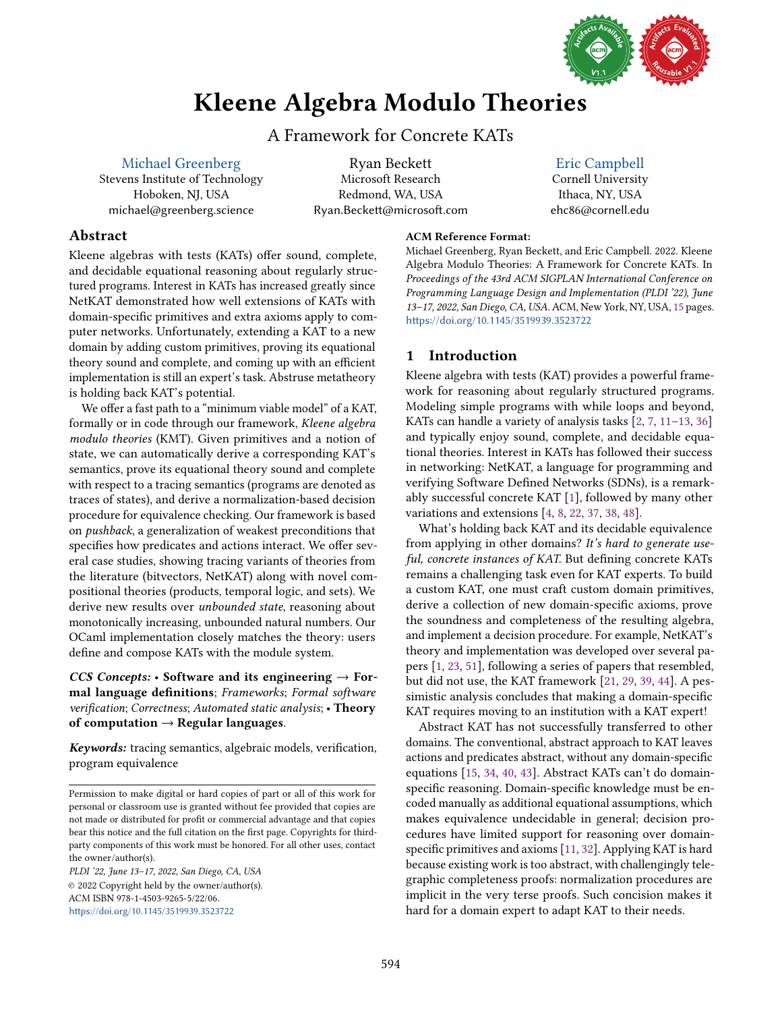

# Kleene Algebra Modulo Theories

## A Framework for Concrete KATs

<span id="page-0-0"></span>[Michael Greenberg](https://orcid.org/0000-0003-0014-7670) Stevens Institute of Technology Hoboken, NJ, USA michael@greenberg.science

Ryan Beckett Microsoft Research Redmond, WA, USA Ryan.Beckett@microsoft.com

## [Eric Campbell](https://orcid.org/0000-0001-5954-2136)

Cornell University Ithaca, NY, USA ehc86@cornell.edu

## Abstract

Kleene algebras with tests (KATs) offer sound, complete, and decidable equational reasoning about regularly structured programs. Interest in KATs has increased greatly since NetKAT demonstrated how well extensions of KATs with domain-specific primitives and extra axioms apply to computer networks. Unfortunately, extending a KAT to a new domain by adding custom primitives, proving its equational theory sound and complete, and coming up with an efficient implementation is still an expert's task. Abstruse metatheory is holding back KAT's potential.

We offer a fast path to a "minimum viable model" of a KAT, formally or in code through our framework, Kleene algebra modulo theories (KMT). Given primitives and a notion of state, we can automatically derive a corresponding KAT's semantics, prove its equational theory sound and complete with respect to a tracing semantics (programs are denoted as traces of states), and derive a normalization-based decision procedure for equivalence checking. Our framework is based on pushback, a generalization of weakest preconditions that specifies how predicates and actions interact. We offer several case studies, showing tracing variants of theories from the literature (bitvectors, NetKAT) along with novel compositional theories (products, temporal logic, and sets). We derive new results over unbounded state, reasoning about monotonically increasing, unbounded natural numbers. Our OCaml implementation closely matches the theory: users define and compose KATs with the module system.

*CCS Concepts:* • Software and its engineering  $\rightarrow$  Formal language definitions; Frameworks; Formal software verification; Correctness; Automated static analysis; • Theory of computation  $\rightarrow$  Regular languages.

*Keywords:* tracing semantics, algebraic models, verification, program equivalence

PLDI '22, June 13-17, 2022, San Diego, CA, USA © 2022 Copyright held by the owner/author(s). ACM ISBN 978-1-4503-9265-5/22/06. <https://doi.org/10.1145/3519939.3523722>

## ACM Reference Format:

Michael Greenberg, Ryan Beckett, and Eric Campbell. 2022. Kleene Algebra Modulo Theories: A Framework for Concrete KATs. In Proceedings of the 43rd ACM SIGPLAN International Conference on Programming Language Design and Implementation (PLDI '22), June 13-17, 2022, San Diego, CA, USA. ACM, New York, NY, USA, [15](#page-0-0) pages. <https://doi.org/10.1145/3519939.3523722>

## 1 Introduction

Kleene algebra with tests (KAT) provides a powerful framework for reasoning about regularly structured programs. Modeling simple programs with while loops and beyond, KATs can handle a variety of analysis tasks  $[2, 7, 11–13, 36]$  $[2, 7, 11–13, 36]$  $[2, 7, 11–13, 36]$  $[2, 7, 11–13, 36]$  $[2, 7, 11–13, 36]$  $[2, 7, 11–13, 36]$ and typically enjoy sound, complete, and decidable equational theories. Interest in KATs has followed their success in networking: NetKAT, a language for programming and verifying Software Defined Networks (SDNs), is a remarkably successful concrete KAT [\[1\]](#page-13-4), followed by many other variations and extensions [\[4,](#page-13-5) [8,](#page-13-6) [22,](#page-13-7) [37,](#page-14-1) [38,](#page-14-2) [48\]](#page-14-3).

What's holding back KAT and its decidable equivalence from applying in other domains? It's hard to generate useful, concrete instances of KAT. But defining concrete KATs remains a challenging task even for KAT experts. To build a custom KAT, one must craft custom domain primitives, derive a collection of new domain-specific axioms, prove the soundness and completeness of the resulting algebra, and implement a decision procedure. For example, NetKAT's theory and implementation was developed over several papers [\[1,](#page-13-4) [23,](#page-13-8) [51\]](#page-14-4), following a series of papers that resembled, but did not use, the KAT framework [\[21,](#page-13-9) [29,](#page-13-10) [39,](#page-14-5) [44\]](#page-14-6). A pessimistic analysis concludes that making a domain-specific KAT requires moving to an institution with a KAT expert!

Abstract KAT has not successfully transferred to other domains. The conventional, abstract approach to KAT leaves actions and predicates abstract, without any domain-specific equations [\[15,](#page-13-11) [34,](#page-14-7) [40,](#page-14-8) [43\]](#page-14-9). Abstract KATs can't do domainspecific reasoning. Domain-specific knowledge must be encoded manually as additional equational assumptions, which makes equivalence undecidable in general; decision procedures have limited support for reasoning over domainspecific primitives and axioms [\[11,](#page-13-2) [32\]](#page-14-10). Applying KAT is hard because existing work is too abstract, with challengingly telegraphic completeness proofs: normalization procedures are implicit in the very terse proofs. Such concision makes it hard for a domain expert to adapt KAT to their needs.

Permission to make digital or hard copies of part or all of this work for personal or classroom use is granted without fee provided that copies are not made or distributed for profit or commercial advantage and that copies bear this notice and the full citation on the first page. Copyrights for thirdparty components of this work must be honored. For all other uses, contact the owner/author(s).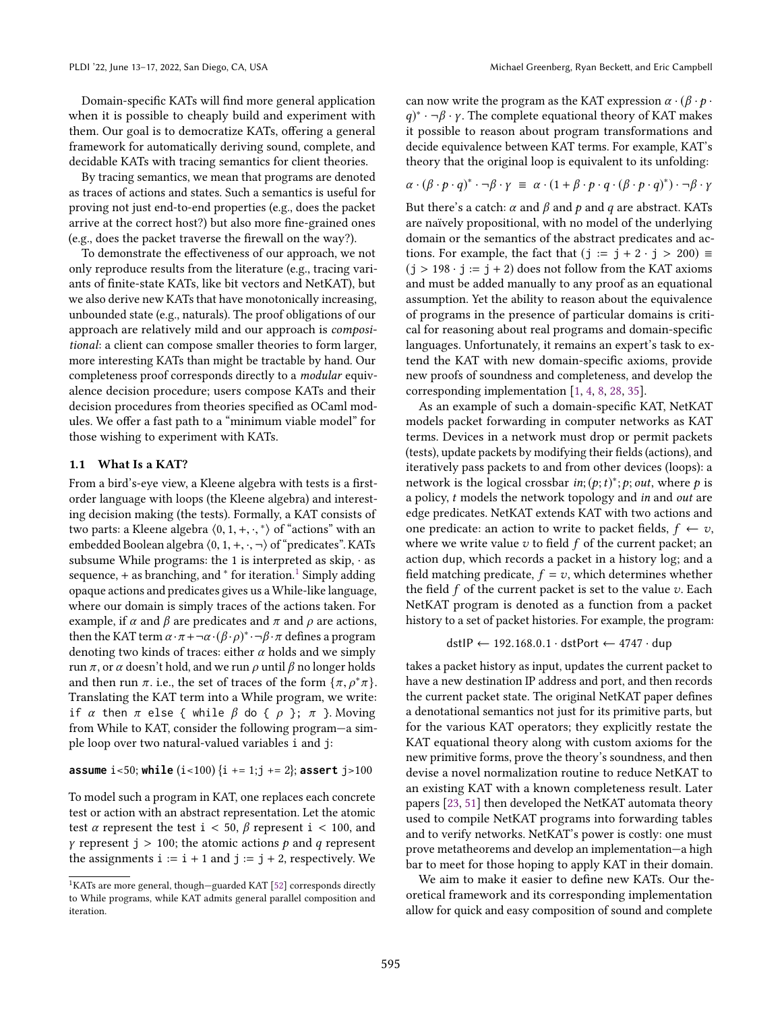Domain-specific KATs will find more general application when it is possible to cheaply build and experiment with them. Our goal is to democratize KATs, offering a general framework for automatically deriving sound, complete, and decidable KATs with tracing semantics for client theories.

By tracing semantics, we mean that programs are denoted as traces of actions and states. Such a semantics is useful for proving not just end-to-end properties (e.g., does the packet arrive at the correct host?) but also more fine-grained ones (e.g., does the packet traverse the firewall on the way?).

To demonstrate the effectiveness of our approach, we not only reproduce results from the literature (e.g., tracing variants of finite-state KATs, like bit vectors and NetKAT), but we also derive new KATs that have monotonically increasing, unbounded state (e.g., naturals). The proof obligations of our approach are relatively mild and our approach is compositional: a client can compose smaller theories to form larger, more interesting KATs than might be tractable by hand. Our completeness proof corresponds directly to a modular equivalence decision procedure; users compose KATs and their decision procedures from theories specified as OCaml modules. We offer a fast path to a "minimum viable model" for those wishing to experiment with KATs.

#### 1.1 What Is a KAT?

From a bird's-eye view, a Kleene algebra with tests is a firstorder language with loops (the Kleene algebra) and interesting decision making (the tests). Formally, a KAT consists of two parts: a Kleene algebra  $\langle 0, 1, +, \cdot, ^* \rangle$  of "actions" with an embedded Boolean algebra  $\langle 0, 1, +, \cdot, \neg \rangle$  of "predicates". KATs subsume While programs: the 1 is interpreted as skip,  $\cdot$  as sequence, + as branching, and  $*$  for iteration.<sup>[1](#page-1-0)</sup> Simply adding opaque actions and predicates gives us a While-like language, where our domain is simply traces of the actions taken. For example, if  $\alpha$  and  $\beta$  are predicates and  $\pi$  and  $\rho$  are actions, then the KAT term  $\alpha \cdot \pi + \neg \alpha \cdot (\beta \cdot \rho)^* \cdot \neg \beta \cdot \pi$  defines a program denoting two kinds of traces: either  $\alpha$  holds and we simply run  $\pi$ , or  $\alpha$  doesn't hold, and we run  $\rho$  until  $\beta$  no longer holds and then run  $\pi$ . i.e., the set of traces of the form  $\{\pi, \rho^*\pi\}$ . Translating the KAT term into a While program, we write: if *α* then  $\pi$  else { while  $\beta$  do {  $\rho$  };  $\pi$  }. Moving from While to KAT, consider the following program—a simple loop over two natural-valued variables i and j:

**assume** i<50; **while**  $(i < 100)$  {i += 1;j += 2}; **assert** j>100

To model such a program in KAT, one replaces each concrete test or action with an abstract representation. Let the atomic test  $\alpha$  represent the test i < 50,  $\beta$  represent i < 100, and *γ* represent j > 100; the atomic actions *p* and *q* represent the assignments  $i := i + 1$  and  $j := j + 2$ , respectively. We can now write the program as the KAT expression  $\alpha \cdot (\beta \cdot p \cdot \beta)$  $q$ <sup>\*</sup> · ¬ $\beta$  ·  $\gamma$ . The complete equational theory of KAT makes it possible to reason about program transformations and decide equivalence between KAT terms. For example, KAT's theory that the original loop is equivalent to its unfolding:

$$
\alpha \cdot (\beta \cdot p \cdot q)^* \cdot \neg \beta \cdot \gamma = \alpha \cdot (1 + \beta \cdot p \cdot q \cdot (\beta \cdot p \cdot q)^*) \cdot \neg \beta \cdot \gamma
$$

But there's a catch:  $\alpha$  and  $\beta$  and  $\beta$  and  $q$  are abstract. KATs are naïvely propositional, with no model of the underlying domain or the semantics of the abstract predicates and actions. For example, the fact that  $(j := j + 2 \cdot j > 200) \equiv$  $(j > 198 \cdot j := j + 2)$  does not follow from the KAT axioms and must be added manually to any proof as an equational assumption. Yet the ability to reason about the equivalence of programs in the presence of particular domains is critical for reasoning about real programs and domain-specific languages. Unfortunately, it remains an expert's task to extend the KAT with new domain-specific axioms, provide new proofs of soundness and completeness, and develop the corresponding implementation [\[1,](#page-13-4) [4,](#page-13-5) [8,](#page-13-6) [28,](#page-13-12) [35\]](#page-14-12).

As an example of such a domain-specific KAT, NetKAT models packet forwarding in computer networks as KAT terms. Devices in a network must drop or permit packets (tests), update packets by modifying their fields (actions), and iteratively pass packets to and from other devices (loops): a network is the logical crossbar in;  $(p; t)^*$ ;  $p$ ; out, where  $p$  is a policy, t models the network topology and in and out are edge predicates. NetKAT extends KAT with two actions and one predicate: an action to write to packet fields,  $f \leftarrow v$ , where we write value  $v$  to field  $f$  of the current packet; an action dup, which records a packet in a history log; and a field matching predicate,  $f = v$ , which determines whether the field  $f$  of the current packet is set to the value  $v$ . Each NetKAT program is denoted as a function from a packet history to a set of packet histories. For example, the program:

$$
dstIP \leftarrow 192.168.0.1 \cdot dstPort \leftarrow 4747 \cdot dup
$$

takes a packet history as input, updates the current packet to have a new destination IP address and port, and then records the current packet state. The original NetKAT paper defines a denotational semantics not just for its primitive parts, but for the various KAT operators; they explicitly restate the KAT equational theory along with custom axioms for the new primitive forms, prove the theory's soundness, and then devise a novel normalization routine to reduce NetKAT to an existing KAT with a known completeness result. Later papers [\[23,](#page-13-8) [51\]](#page-14-4) then developed the NetKAT automata theory used to compile NetKAT programs into forwarding tables and to verify networks. NetKAT's power is costly: one must prove metatheorems and develop an implementation-a high bar to meet for those hoping to apply KAT in their domain.

We aim to make it easier to define new KATs. Our theoretical framework and its corresponding implementation allow for quick and easy composition of sound and complete

<span id="page-1-0"></span> $^{1}\mathrm{KATs}$  are more general, though–guarded KAT [\[52\]](#page-14-11) corresponds directly to While programs, while KAT admits general parallel composition and iteration.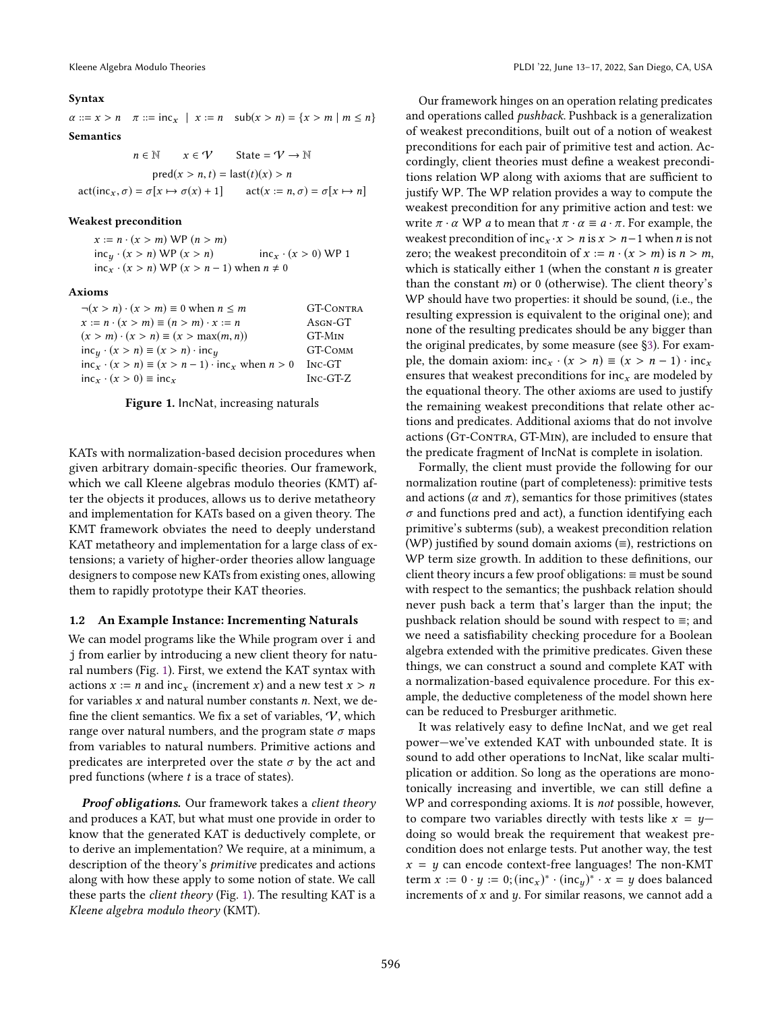#### <span id="page-2-0"></span>Syntax

 $\alpha ::= x > n$   $\pi ::= \text{inc}_x | x := n$   $\text{sub}(x > n) = \{x > m | m \le n\}$ 

Semantics

 $n \in \mathbb{N}$   $x \in \mathcal{V}$  State =  $\mathcal{V} \rightarrow \mathbb{N}$  $pred(x > n, t) = last(t)(x) > n$  $\text{act}(\text{inc}_x, \sigma) = \sigma[x \mapsto \sigma(x) + 1]$   $\text{act}(x := n, \sigma) = \sigma[x \mapsto n]$ 

#### Weakest precondition

 $x := n \cdot (x > m) \text{ WP}(n > m)$  $inc<sub>y</sub> \cdot (x > n) \text{ WP}(x > n)$   $inc<sub>x</sub> \cdot (x > 0) \text{ WP}(1)$  $inc_x \cdot (x > n)$  WP  $(x > n - 1)$  when  $n \neq 0$ 

#### Axioms

| $\neg(x > n) \cdot (x > m) \equiv 0$ when $n \leq m$              | <b>GT-CONTRA</b> |
|-------------------------------------------------------------------|------------------|
| $x := n \cdot (x > m) \equiv (n > m) \cdot x := n$                | Asgn-GT          |
| $(x > m) \cdot (x > n) \equiv (x > \max(m, n))$                   | GT-MIN           |
| $incy (x > n) \equiv (x > n) \cdot incy$                          | GT-COMM          |
| $inc_x \cdot (x > n) \equiv (x > n - 1) \cdot inc_x$ when $n > 0$ | Inc-GT           |
| $inc_x \cdot (x > 0) \equiv inc_x$                                | $Inc-GT-Z$       |

Figure 1. IncNat, increasing naturals

KATs with normalization-based decision procedures when given arbitrary domain-specific theories. Our framework, which we call Kleene algebras modulo theories (KMT) after the objects it produces, allows us to derive metatheory and implementation for KATs based on a given theory. The KMT framework obviates the need to deeply understand KAT metatheory and implementation for a large class of extensions; a variety of higher-order theories allow language designers to compose new KATs from existing ones, allowing them to rapidly prototype their KAT theories.

#### <span id="page-2-1"></span>1.2 An Example Instance: Incrementing Naturals

We can model programs like the While program over i and j from earlier by introducing a new client theory for natural numbers (Fig. [1\)](#page-2-0). First, we extend the KAT syntax with actions  $x := n$  and inc<sub>x</sub> (increment x) and a new test  $x > n$ for variables  $x$  and natural number constants  $n$ . Next, we define the client semantics. We fix a set of variables,  $\mathcal{V}$ , which range over natural numbers, and the program state  $\sigma$  maps from variables to natural numbers. Primitive actions and predicates are interpreted over the state  $\sigma$  by the act and pred functions (where  $t$  is a trace of states).

*Proof obligations.* Our framework takes a client theory and produces a KAT, but what must one provide in order to know that the generated KAT is deductively complete, or to derive an implementation? We require, at a minimum, a description of the theory's primitive predicates and actions along with how these apply to some notion of state. We call these parts the client theory (Fig. [1\)](#page-2-0). The resulting KAT is a Kleene algebra modulo theory (KMT).

Our framework hinges on an operation relating predicates and operations called *pushback*. Pushback is a generalization of weakest preconditions, built out of a notion of weakest preconditions for each pair of primitive test and action. Accordingly, client theories must define a weakest preconditions relation WP along with axioms that are sufficient to justify WP. The WP relation provides a way to compute the weakest precondition for any primitive action and test: we write  $\pi \cdot \alpha$  WP *a* to mean that  $\pi \cdot \alpha \equiv a \cdot \pi$ . For example, the weakest precondition of inc $x \cdot x > n$  is  $x > n-1$  when *n* is not zero; the weakest preconditoin of  $x := n \cdot (x > m)$  is  $n > m$ , which is statically either 1 (when the constant  $n$  is greater than the constant  $m$ ) or 0 (otherwise). The client theory's WP should have two properties: it should be sound, (i.e., the resulting expression is equivalent to the original one); and none of the resulting predicates should be any bigger than the original predicates, by some measure (see [ğ3\)](#page-5-0). For example, the domain axiom:  $inc_x \cdot (x > n) \equiv (x > n - 1) \cdot inc_x$ ensures that weakest preconditions for  $inc<sub>x</sub>$  are modeled by the equational theory. The other axioms are used to justify the remaining weakest preconditions that relate other actions and predicates. Additional axioms that do not involve actions (Gt-Contra, GT-Min), are included to ensure that the predicate fragment of IncNat is complete in isolation.

Formally, the client must provide the following for our normalization routine (part of completeness): primitive tests and actions ( $\alpha$  and  $\pi$ ), semantics for those primitives (states  $\sigma$  and functions pred and act), a function identifying each primitive's subterms (sub), a weakest precondition relation (WP) justified by sound domain axioms (≡), restrictions on WP term size growth. In addition to these definitions, our client theory incurs a few proof obligations: ≡ must be sound with respect to the semantics; the pushback relation should never push back a term that's larger than the input; the pushback relation should be sound with respect to ≡; and we need a satisfiability checking procedure for a Boolean algebra extended with the primitive predicates. Given these things, we can construct a sound and complete KAT with a normalization-based equivalence procedure. For this example, the deductive completeness of the model shown here can be reduced to Presburger arithmetic.

It was relatively easy to define IncNat, and we get real power—we've extended KAT with unbounded state. It is sound to add other operations to IncNat, like scalar multiplication or addition. So long as the operations are monotonically increasing and invertible, we can still define a WP and corresponding axioms. It is not possible, however, to compare two variables directly with tests like  $x = y$ doing so would break the requirement that weakest precondition does not enlarge tests. Put another way, the test  $x = y$  can encode context-free languages! The non-KMT term  $x := 0 \cdot y := 0$ ;  $(\text{inc}_x)^* \cdot (\text{inc}_y)^* \cdot x = y$  does balanced increments of  $x$  and  $y$ . For similar reasons, we cannot add a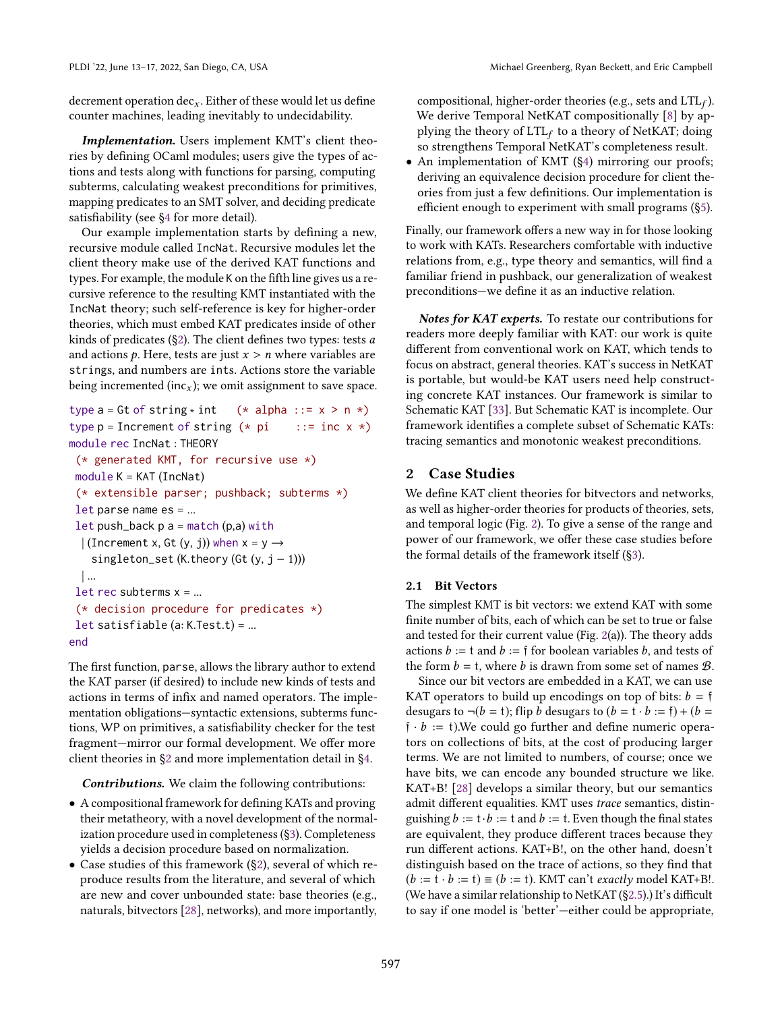decrement operation  $dec_x$ . Either of these would let us define counter machines, leading inevitably to undecidability.

*Implementation.* Users implement KMT's client theories by defining OCaml modules; users give the types of actions and tests along with functions for parsing, computing subterms, calculating weakest preconditions for primitives, mapping predicates to an SMT solver, and deciding predicate satisfiability (see [ğ4](#page-10-0) for more detail).

Our example implementation starts by defining a new, recursive module called IncNat. Recursive modules let the client theory make use of the derived KAT functions and types. For example, the module K on the fifth line gives us a recursive reference to the resulting KMT instantiated with the IncNat theory; such self-reference is key for higher-order theories, which must embed KAT predicates inside of other kinds of predicates ( $\S$ 2). The client defines two types: tests  $a$ and actions  $p$ . Here, tests are just  $x > n$  where variables are strings, and numbers are ints. Actions store the variable being incremented (inc<sub>x</sub>); we omit assignment to save space.

```
type a = Gt of string * int (* alpha ::= x > n *)
type p = Increment of string (* pi : := inc x *)module rec IncNat : THEORY
 (* generated KMT, for recursive use *)
 module K = KAT (IncNat)
 (* extensible parser; pushback; subterms *)
 let parse name es = ...
 let push_back p a = match (p,a) with| (Increment x, Gt (y, j)) when x = y \rightarrowsingleton_set (K.theory (Gt (y, j - 1)))
 | ...
 let rec subterms x = ...(* decision procedure for predicates *)
 let satisfiable (a: K.Test.t) = ...
end
```
The first function, parse, allows the library author to extend the KAT parser (if desired) to include new kinds of tests and actions in terms of infix and named operators. The implementation obligations-syntactic extensions, subterms functions, WP on primitives, a satisfiability checker for the test fragment-mirror our formal development. We offer more client theories in [ğ2](#page-3-0) and more implementation detail in [ğ4.](#page-10-0)

*Contributions.* We claim the following contributions:

- A compositional framework for defining KATs and proving their metatheory, with a novel development of the normalization procedure used in completeness ([ğ3\)](#page-5-0). Completeness yields a decision procedure based on normalization.
- Case studies of this framework ([ğ2\)](#page-3-0), several of which reproduce results from the literature, and several of which are new and cover unbounded state: base theories (e.g., naturals, bitvectors [\[28\]](#page-13-12), networks), and more importantly,

compositional, higher-order theories (e.g., sets and  $LTL_f$ ). We derive Temporal NetKAT compositionally [\[8\]](#page-13-6) by applying the theory of  $LTL_f$  to a theory of NetKAT; doing so strengthens Temporal NetKAT's completeness result.

• An implementation of KMT (§4) mirroring our proofs; deriving an equivalence decision procedure for client theories from just a few definitions. Our implementation is efficient enough to experiment with small programs ([ğ5\)](#page-11-0).

Finally, our framework offers a new way in for those looking to work with KATs. Researchers comfortable with inductive relations from, e.g., type theory and semantics, will find a familiar friend in pushback, our generalization of weakest preconditions-we define it as an inductive relation.

*Notes for KAT experts.* To restate our contributions for readers more deeply familiar with KAT: our work is quite different from conventional work on KAT, which tends to focus on abstract, general theories. KAT's success in NetKAT is portable, but would-be KAT users need help constructing concrete KAT instances. Our framework is similar to Schematic KAT [\[33\]](#page-14-13). But Schematic KAT is incomplete. Our framework identifies a complete subset of Schematic KATs: tracing semantics and monotonic weakest preconditions.

## <span id="page-3-0"></span>2 Case Studies

We define KAT client theories for bitvectors and networks, as well as higher-order theories for products of theories, sets, and temporal logic (Fig. [2\)](#page-4-0). To give a sense of the range and power of our framework, we offer these case studies before the formal details of the framework itself ([ğ3\)](#page-5-0).

#### <span id="page-3-1"></span>2.1 Bit Vectors

The simplest KMT is bit vectors: we extend KAT with some finite number of bits, each of which can be set to true or false and tested for their current value (Fig. [2\(](#page-4-0)a)). The theory adds actions  $b := t$  and  $b := f$  for boolean variables b, and tests of the form  $b = t$ , where b is drawn from some set of names B.

Since our bit vectors are embedded in a KAT, we can use KAT operators to build up encodings on top of bits:  $b = \mathfrak{f}$ desugars to  $\neg(b = t)$ ; flip b desugars to  $(b = t \cdot b := f) + (b =$  $\mathfrak{f} \cdot b := \mathfrak{t}$ ). We could go further and define numeric operators on collections of bits, at the cost of producing larger terms. We are not limited to numbers, of course; once we have bits, we can encode any bounded structure we like. KAT+B! [\[28\]](#page-13-12) develops a similar theory, but our semantics admit different equalities. KMT uses trace semantics, distinguishing  $b := t \cdot b := t$  and  $b := t$ . Even though the final states are equivalent, they produce different traces because they run different actions. KAT+B!, on the other hand, doesn't distinguish based on the trace of actions, so they find that  $(b := t \cdot b := t) \equiv (b := t)$ . KMT can't *exactly* model KAT+B!. (We have a similar relationship to NetKAT ([ğ2.5\)](#page-5-1).) It's difficult to say if one model is 'better'—either could be appropriate,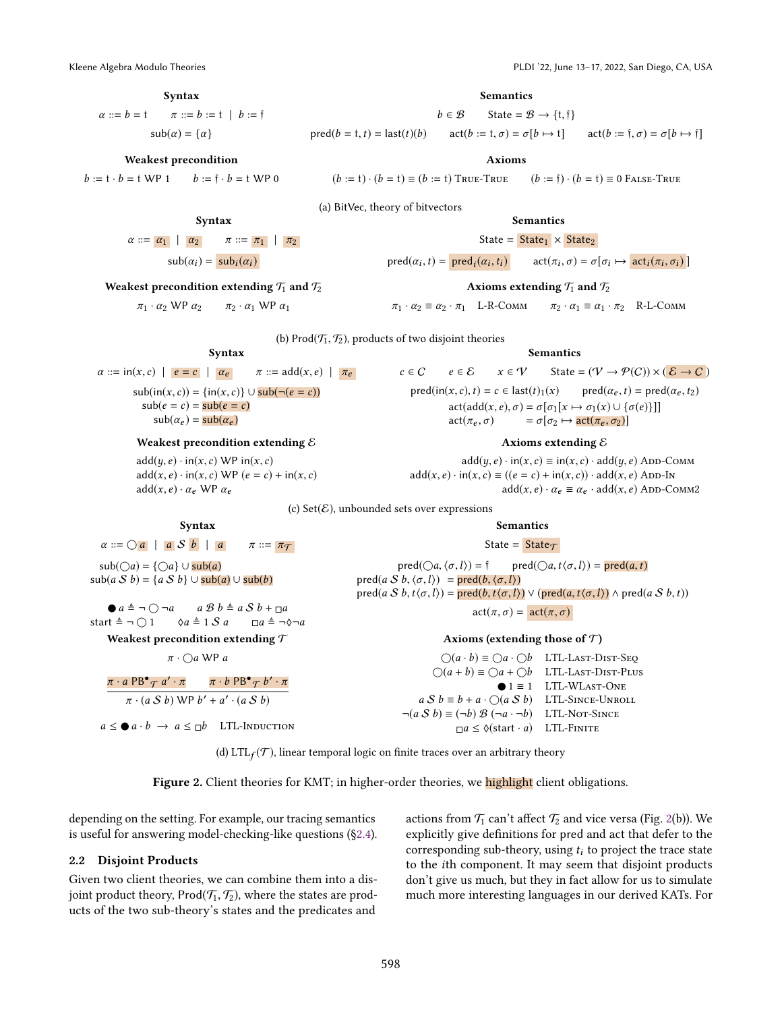<span id="page-4-0"></span>

## Syntax

 $\alpha ::= b = t$   $\pi ::= b := t | b := t$  $sub(\alpha) = {\alpha}$ 

#### Weakest precondition

 $b := t \cdot b = t \text{ W}P$  1  $b := \overline{t} \cdot b = t \text{ W}P$  0

Syntax  $\alpha ::= |\alpha_1| |\alpha_2|$   $\pi ::= |\pi_1| |\pi_2|$  $\text{sub}(\alpha_i) = \text{sub}_i(\alpha_i)$ 

Weakest precondition extending  $\mathcal{T}_1$  and  $\mathcal{T}_2$  $π<sub>1</sub> · α<sub>2</sub> WP α<sub>2</sub>  —  $π<sub>2</sub> · α<sub>1</sub> WP α<sub>1</sub>$$ 

Syntax  $\alpha ::= \text{in}(x, c) \mid e = c \mid \alpha_e \quad \pi ::= \text{add}(x, e) \mid \pi_e$  $\text{sub}(in(x, c)) = \{\text{in}(x, c)\} \cup \text{sub}(\neg(e = c))$ 

Weakest precondition extending  $\mathcal E$ 

 $add(x, e) \cdot in(x, c) \text{ WP}(e = c) + in(x, c)$ 

(a) BitVec, theory of bitvectors

Semantics

State =  $State_1 \times State_2$ 

 $\text{pred}(\alpha_i, t) = \text{pred}_i(\alpha_i)$  $(t_i)$  act $(\pi_i, \sigma) = \sigma[\sigma_i \mapsto \text{act}_i(\pi_i, \sigma_i)]$ 

#### Axioms extending  $\mathcal{T}_1$  and  $\mathcal{T}_2$

 $\pi_1 \cdot \alpha_2 \equiv \alpha_2 \cdot \pi_1 \quad \text{L-R-Comm} \qquad \pi_2 \cdot \alpha_1 \equiv \alpha_1 \cdot \pi_2 \quad \text{R-L-Comm}$ 

(b) Prod $(\mathcal{T}_1, \mathcal{T}_2)$ , products of two disjoint theories

#### Semantics

$$
c \in C \qquad e \in \mathcal{E} \qquad x \in \mathcal{V} \qquad \text{State} = (\mathcal{V} \rightarrow \mathcal{P}(C)) \times (\mathcal{E} \rightarrow C)
$$
\n
$$
\text{pred}(\text{in}(x, c), t) = c \in \text{last}(t)_1(x) \qquad \text{pred}(\alpha_e, t) = \text{pred}(\alpha_e, t_2)
$$
\n
$$
\text{act}(\text{add}(x, e), \sigma) = \sigma[\sigma_1[x \mapsto \sigma_1(x) \cup \{\sigma(e)\}]]
$$
\n
$$
\text{act}(\pi_e, \sigma) \qquad = \sigma[\sigma_2 \mapsto \text{act}(\pi_e, \sigma_2)]
$$

#### Axioms extending  $\mathcal E$

 $add(y, e) \cdot in(x, c) \equiv in(x, c) \cdot add(y, e)$  ADD-COMM  $add(x, e) \cdot in(x, c) \equiv ((e = c) + in(x, c)) \cdot add(x, e)$  App-In  $add(x, e) \cdot \alpha_e \equiv \alpha_e \cdot add(x, e)$  ADD-COMM2

Semantics State =  $State\tau$ pred( $\bigcirc a, \langle \sigma, l \rangle$ ) = f pred( $\bigcirc a, t \langle \sigma, l \rangle$ ) = pred( $a, t$ )

pred(a S b, t $\langle \sigma, l \rangle$ ) = pred(b, t $\langle \sigma, l \rangle$ )  $\vee$  (pred(a, t $\langle \sigma, l \rangle$ )  $\wedge$  pred(a S b, t))  $\text{act}(\pi, \sigma) = \text{act}(\pi, \sigma)$ 

> Axioms (extending those of  $\mathcal T$ )  $\bigcap (a \cdot b) \equiv \bigcap a \cdot \bigcap b$  LTL-Last-Dist-Seq  $\bigcirc$ (a + b)  $\equiv \bigcirc$ a +  $\bigcirc$ b LTL-Last-Dist-Plus

 $a S b \equiv b + a \cdot \bigcirc (a S b)$  LTL-SINCE-UNROLL  $\neg(a \mathcal{S} b) \equiv (\neg b) \mathcal{B} (\neg a \cdot \neg b)$  LTL-Not-Since  $\Box a \leq \Diamond$ (start · a) LTL-FINITE

(c) Set( $\mathcal{E}$ ), unbounded sets over expressions

pred(a S b,  $\langle \sigma, l \rangle$ ) = pred(b,  $\langle \sigma, l \rangle$ )

## Syntax

 $\text{sub}(e = c) = \text{sub}(e = c)$  $\mathsf{sub}(\alpha_e) = \mathsf{sub}(\alpha_e)$ 

#### $\alpha ::= \bigcirc a \mid a \mathcal{S} b \mid a \qquad \pi ::= \pi \tau$

 $add(y, e) \cdot in(x, c) \text{ WP} in(x, c)$ 

 $sub(Qa) = \{\bigcirc a\} \cup sub(a)$  $\text{sub}(a \ S \ b) = \{a \ S \ b\} \cup \text{sub}(a) \cup \text{sub}(b)$ 

 $add(x, e) \cdot \alpha_e$  WP  $\alpha_e$ 

 $\bullet$   $a \triangleq \neg \bigcirc \neg a$   $a \mathcal{B} b \triangleq a \mathcal{S} b + \square a$ <br>  $at \triangleq \neg \bigcirc 1$   $\Diamond a \triangleq 1 \mathcal{S} a$   $\square a \triangleq \neg \Diamond$ start  $\stackrel{\Delta}{=} \neg \bigcirc 1$   $\Diamond a \stackrel{\Delta}{=} 1 \mathcal{S} a$   $\Box a \stackrel{\Delta}{=} \neg \Diamond \neg a$ 

Weakest precondition extending  $\mathcal T$ 

 $\pi \cdot \bigcirc a$  WP a

$$
\frac{\pi \cdot a \text{ PB}^{\bullet} \tau a' \cdot \pi}{\pi \cdot (a \text{ S } b) \text{ WP } b' + a' \cdot (a \text{ S } b)}
$$

 $a \leq \bullet a \cdot b \rightarrow a \leq \neg b$  LTL-Induction

(d)  $\mathrm{LTL}_f(\mathcal{T})$ , linear temporal logic on finite traces over an arbitrary theory

Figure 2. Client theories for KMT; in higher-order theories, we highlight client obligations.

depending on the setting. For example, our tracing semantics is useful for answering model-checking-like questions ([ğ2.4\)](#page-5-2).

#### 2.2 Disjoint Products

Given two client theories, we can combine them into a disjoint product theory, Prod $(\mathcal{T}_1, \mathcal{T}_2)$ , where the states are products of the two sub-theory's states and the predicates and

actions from  $\mathcal{T}_1$  can't affect  $\mathcal{T}_2$  and vice versa (Fig. [2\(](#page-4-0)b)). We explicitly give definitions for pred and act that defer to the corresponding sub-theory, using  $t_i$  to project the trace state to the ith component. It may seem that disjoint products don't give us much, but they in fact allow for us to simulate much more interesting languages in our derived KATs. For

 $\bigcirc$  1 = 1 LTL-WLAST-ONE

## Semantics  $b \in \mathcal{B}$  State =  $\mathcal{B} \rightarrow \{t, \hat{t}\}\$

pred(b = t, t) = last(t)(b)  $\text{act}(b := t, \sigma) = \sigma[b \mapsto t]$   $\text{act}(b := \tilde{t}, \sigma) = \sigma[b \mapsto \tilde{t}]$ 

Axioms

```
(b := t) \cdot (b = t) \equiv (b := t) True-True (b := t) \cdot (b = t) \equiv 0 False-True
```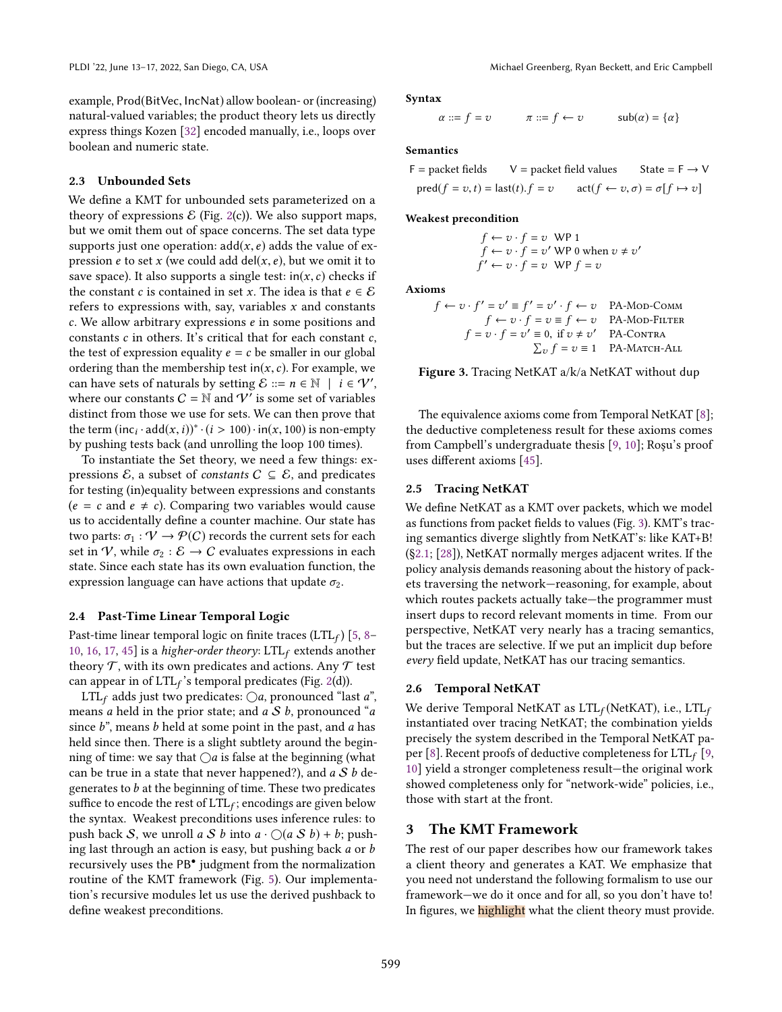example, Prod(BitVec, IncNat) allow boolean- or (increasing) natural-valued variables; the product theory lets us directly express things Kozen [\[32\]](#page-14-10) encoded manually, i.e., loops over boolean and numeric state.

## 2.3 Unbounded Sets

We define a KMT for unbounded sets parameterized on a theory of expressions  $\mathcal E$  (Fig. [2\(](#page-4-0)c)). We also support maps, but we omit them out of space concerns. The set data type supports just one operation:  $add(x, e)$  adds the value of expression *e* to set x (we could add del(x, e), but we omit it to save space). It also supports a single test:  $in(x, c)$  checks if the constant *c* is contained in set *x*. The idea is that  $e \in \mathcal{E}$ refers to expressions with, say, variables  $x$  and constants  $c$ . We allow arbitrary expressions  $e$  in some positions and constants  $c$  in others. It's critical that for each constant  $c$ , the test of expression equality  $e = c$  be smaller in our global ordering than the membership test in $(x, c)$ . For example, we can have sets of naturals by setting  $\mathcal{E} ::= n \in \mathbb{N} \mid i \in \mathcal{V}'$ , where our constants  $C = \mathbb{N}$  and  $\mathcal{V}'$  is some set of variables distinct from those we use for sets. We can then prove that the term  $(\text{inc}_i \cdot \text{add}(x, i))^* \cdot (i > 100) \cdot \text{in}(x, 100)$  is non-empty by pushing tests back (and unrolling the loop 100 times).

To instantiate the Set theory, we need a few things: expressions  $\mathcal{E}$ , a subset of *constants*  $C \subseteq \mathcal{E}$ , and predicates for testing (in)equality between expressions and constants  $(e = c$  and  $e \neq c)$ . Comparing two variables would cause us to accidentally define a counter machine. Our state has two parts:  $\sigma_1 : \mathcal{V} \to \mathcal{P}(\mathcal{C})$  records the current sets for each set in V, while  $\sigma_2 : \mathcal{E} \to \mathcal{C}$  evaluates expressions in each state. Since each state has its own evaluation function, the expression language can have actions that update  $\sigma_2$ .

### <span id="page-5-2"></span>2.4 Past-Time Linear Temporal Logic

Past-time linear temporal logic on finite traces (LTL $_f$ ) [\[5,](#page-13-13) 8– [10,](#page-13-14) [16,](#page-13-15) [17,](#page-13-16) [45\]](#page-14-14) is a higher-order theory:  $LTL_f$  extends another theory  $\mathcal T$ , with its own predicates and actions. Any  $\mathcal T$  test can appear in of  $LTL_f$ 's temporal predicates (Fig. [2\(](#page-4-0)d)).

LTL<sub>f</sub> adds just two predicates:  $\bigcirc a$ , pronounced "last a", means a held in the prior state; and  $a S b$ , pronounced "a since  $b^*$ , means  $b$  held at some point in the past, and  $a$  has held since then. There is a slight subtlety around the beginning of time: we say that  $\bigcirc$ a is false at the beginning (what can be true in a state that never happened?), and  $a S b$  degenerates to  $b$  at the beginning of time. These two predicates suffice to encode the rest of  $\text{LTL}_f$ ; encodings are given below the syntax. Weakest preconditions uses inference rules: to push back S, we unroll a S b into  $a \cdot \bigcirc (a \mathcal{S} b) + b$ ; pushing last through an action is easy, but pushing back a or b recursively uses the PB• judgment from the normalization routine of the KMT framework (Fig. [5\)](#page-9-0). Our implementation's recursive modules let us use the derived pushback to define weakest preconditions.

<span id="page-5-3"></span>Syntax

$$
\alpha ::= f = v \qquad \qquad \pi ::= f \leftarrow v \qquad \qquad sub(\alpha) = \{\alpha\}
$$

#### Semantics

 $F =$  packet fields  $V =$  packet field values State =  $F \rightarrow V$  $pred(f = v, t) = last(t).f = v$   $act(f \leftarrow v, \sigma) = \sigma[f \mapsto v]$ 

#### Weakest precondition

$$
f \leftarrow v \cdot f = v \text{ WP 1}
$$
  

$$
f \leftarrow v \cdot f = v' \text{ WP 0 when } v \neq v'
$$
  

$$
f' \leftarrow v \cdot f = v \text{ WP } f = v
$$

Axioms

$$
f \leftarrow v \cdot f' = v' \equiv f' = v' \cdot f \leftarrow v \quad \text{PA-MOD-COMM}
$$
\n
$$
f \leftarrow v \cdot f = v \equiv f \leftarrow v \quad \text{PA-MOD-FlITER}
$$
\n
$$
f = v \cdot f = v' \equiv 0, \text{ if } v \neq v' \quad \text{PA-CONTRA}
$$
\n
$$
\sum_{v} f = v \equiv 1 \quad \text{PA-MATCH-ALL}
$$

Figure 3. Tracing NetKAT a/k/a NetKAT without dup

The equivalence axioms come from Temporal NetKAT [\[8\]](#page-13-6); the deductive completeness result for these axioms comes from Campbell's undergraduate thesis [\[9,](#page-13-17) [10\]](#page-13-14); Roşu's proof uses different axioms [\[45\]](#page-14-14).

#### <span id="page-5-1"></span>2.5 Tracing NetKAT

We define NetKAT as a KMT over packets, which we model as functions from packet fields to values (Fig. [3\)](#page-5-3). KMT's tracing semantics diverge slightly from NetKAT's: like KAT+B! ([ğ2.1;](#page-3-1) [\[28\]](#page-13-12)), NetKAT normally merges adjacent writes. If the policy analysis demands reasoning about the history of packets traversing the network–reasoning, for example, about which routes packets actually take-the programmer must insert dups to record relevant moments in time. From our perspective, NetKAT very nearly has a tracing semantics, but the traces are selective. If we put an implicit dup before every field update, NetKAT has our tracing semantics.

#### <span id="page-5-4"></span>2.6 Temporal NetKAT

We derive Temporal NetKAT as  $LTL_f(NetKAT)$ , i.e.,  $LTL_f$ instantiated over tracing NetKAT; the combination yields precisely the system described in the Temporal NetKAT pa-per [\[8\]](#page-13-6). Recent proofs of deductive completeness for  $LTL_f$  [\[9,](#page-13-17) [10\]](#page-13-14) yield a stronger completeness result-the original work showed completeness only for "network-wide" policies, i.e., those with start at the front.

## <span id="page-5-0"></span>3 The KMT Framework

The rest of our paper describes how our framework takes a client theory and generates a KAT. We emphasize that you need not understand the following formalism to use our framework-we do it once and for all, so you don't have to! In figures, we highlight what the client theory must provide.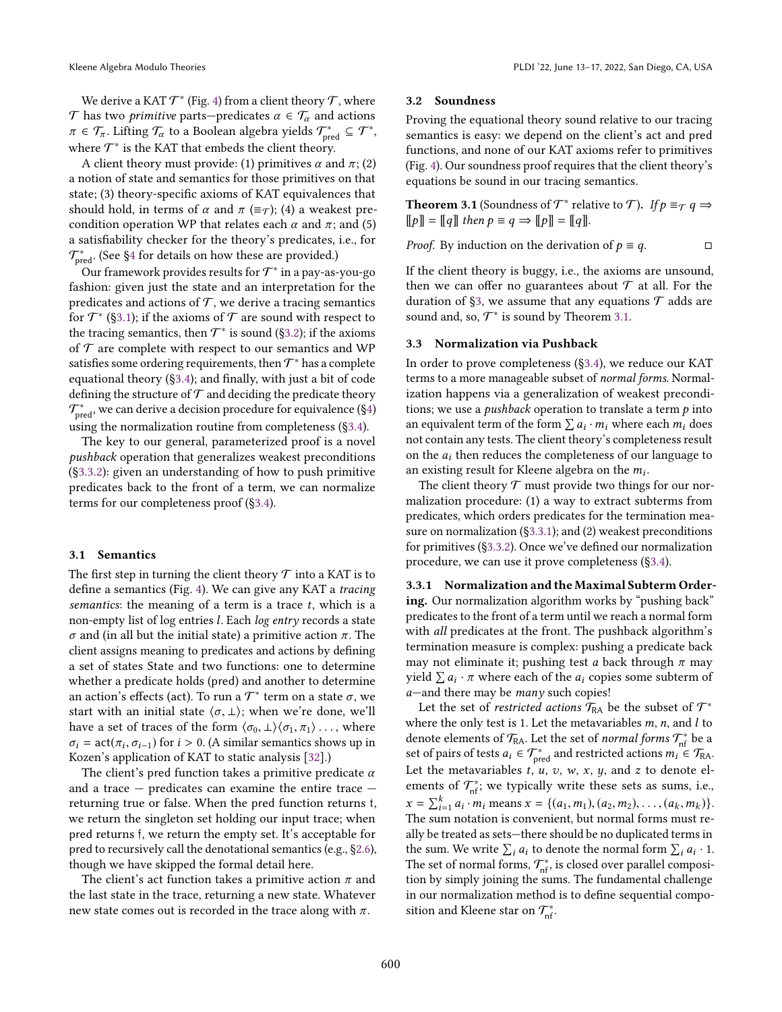We derive a KAT  $\mathcal{T}^*$  (Fig. [4\)](#page-7-0) from a client theory  $\mathcal{T},$  where  $\mathcal T$  has two *primitive* parts—predicates  $\alpha \in \mathcal T_\alpha$  and actions  $\pi \in \mathcal{T}_{\pi}$ . Lifting  $\mathcal{T}_{\alpha}$  to a Boolean algebra yields  $\mathcal{T}_{\text{pred}}^* \subseteq \mathcal{T}^*$ , where  $\mathcal{T}^*$  is the KAT that embeds the client theory.

A client theory must provide: (1) primitives  $\alpha$  and  $\pi$ ; (2) a notion of state and semantics for those primitives on that state; (3) theory-specific axioms of KAT equivalences that should hold, in terms of  $\alpha$  and  $\pi$  ( $\equiv \tau$ ); (4) a weakest precondition operation WP that relates each  $\alpha$  and  $\pi$ ; and (5) a satisfiability checker for the theory's predicates, i.e., for  $\mathcal{T}^*_\text{pred}$ . (See §4 for details on how these are provided.)

Our framework provides results for  $\mathcal{T}^*$  in a pay-as-you-go fashion: given just the state and an interpretation for the predicates and actions of  $T$ , we derive a tracing semantics for  $\mathcal{T}^*$  (§3.1); if the axioms of  $\mathcal T$  are sound with respect to the tracing semantics, then  $\mathcal{T}^*$  is sound (§3.2); if the axioms of  $T$  are complete with respect to our semantics and WP satisfies some ordering requirements, then  $\mathcal{T}^*$  has a complete equational theory ([ğ3.4\)](#page-8-0); and finally, with just a bit of code defining the structure of  $\mathcal T$  and deciding the predicate theory  $\mathcal{T}^*_\text{pred}$ , we can derive a decision procedure for equivalence (§4) using the normalization routine from completeness ([ğ3.4\)](#page-8-0).

The key to our general, parameterized proof is a novel pushback operation that generalizes weakest preconditions ([ğ3.3.2\)](#page-7-1): given an understanding of how to push primitive predicates back to the front of a term, we can normalize terms for our completeness proof ([ğ3.4\)](#page-8-0).

#### <span id="page-6-0"></span>3.1 Semantics

The first step in turning the client theory  $\mathcal T$  into a KAT is to define a semantics (Fig. [4\)](#page-7-0). We can give any KAT a tracing semantics: the meaning of a term is a trace  $t$ , which is a non-empty list of log entries l. Each log entry records a state σ and (in all but the initial state) a primitive action π. The client assigns meaning to predicates and actions by defining a set of states State and two functions: one to determine whether a predicate holds (pred) and another to determine an action's effects (act). To run a  $\mathcal{T}^*$  term on a state  $\sigma$ , we start with an initial state  $\langle \sigma, \perp \rangle$ ; when we're done, we'll have a set of traces of the form  $\langle \sigma_0, \perp \rangle \langle \sigma_1, \pi_1 \rangle \dots$ , where  $\sigma_i = \arct(\pi_i, \sigma_{i-1})$  for  $i > 0$ . (A similar semantics shows up in Kozen's application of KAT to static analysis [\[32\]](#page-14-10).)

The client's pred function takes a primitive predicate  $\alpha$ and a trace  $-$  predicates can examine the entire trace  $$ returning true or false. When the pred function returns t, we return the singleton set holding our input trace; when pred returns f, we return the empty set. It's acceptable for pred to recursively call the denotational semantics (e.g., [ğ2.6\)](#page-5-4), though we have skipped the formal detail here.

The client's act function takes a primitive action  $\pi$  and the last state in the trace, returning a new state. Whatever new state comes out is recorded in the trace along with  $\pi$ .

#### <span id="page-6-1"></span>3.2 Soundness

Proving the equational theory sound relative to our tracing semantics is easy: we depend on the client's act and pred functions, and none of our KAT axioms refer to primitives (Fig. [4\)](#page-7-0). Our soundness proof requires that the client theory's equations be sound in our tracing semantics.

<span id="page-6-2"></span>**Theorem 3.1** (Soundness of  $\mathcal{T}^*$  relative to  $\mathcal{T}$ ). If  $p \equiv_{\mathcal{T}} q \Rightarrow$  $[[p]] = [[q]]$  then  $p \equiv q \Rightarrow [[p]] = [[q]]$ .

*Proof.* By induction on the derivation of  $p \equiv q$ .  $\Box$ 

If the client theory is buggy, i.e., the axioms are unsound, then we can offer no guarantees about  $\mathcal T$  at all. For the duration of §3, we assume that any equations  $\mathcal T$  adds are sound and, so,  $\mathcal{T}^*$  is sound by Theorem [3.1.](#page-6-2)

#### 3.3 Normalization via Pushback

In order to prove completeness ([ğ3.4\)](#page-8-0), we reduce our KAT terms to a more manageable subset of normal forms. Normalization happens via a generalization of weakest preconditions; we use a *pushback* operation to translate a term  $p$  into an equivalent term of the form  $\sum a_i \cdot m_i$  where each  $m_i$  does not contain any tests. The client theory's completeness result on the  $a_i$  then reduces the completeness of our language to an existing result for Kleene algebra on the  $m_i$ .

The client theory  $T$  must provide two things for our normalization procedure: (1) a way to extract subterms from predicates, which orders predicates for the termination measure on normalization ([ğ3.3.1\)](#page-6-3); and (2) weakest preconditions for primitives ([ğ3.3.2\)](#page-7-1). Once we've defined our normalization procedure, we can use it prove completeness ([ğ3.4\)](#page-8-0).

<span id="page-6-3"></span>3.3.1 Normalization and the Maximal Subterm Ordering. Our normalization algorithm works by "pushing back" predicates to the front of a term until we reach a normal form with all predicates at the front. The pushback algorithm's termination measure is complex: pushing a predicate back may not eliminate it; pushing test a back through  $\pi$  may yield  $\sum a_i \cdot \pi$  where each of the  $a_i$  copies some subterm of  $a$ —and there may be *many* such copies!

Let the set of *restricted actions*  $\mathcal{T}_{\mathsf{RA}}$  be the subset of  $\mathcal{T}^*$ where the only test is 1. Let the metavariables  $m$ ,  $n$ , and  $l$  to denote elements of  $\mathcal{T}_{\mathsf{RA}}$ . Let the set of *normal forms*  $\mathcal{T}_{\sf nf}^*$  be a set of pairs of tests  $a_i \in \mathcal{T}_{\text{pred}}^*$  and restricted actions  $m_i \in \mathcal{T}_{\text{RA}}$ . Let the metavariables  $t, u, v, w, x, y$ , and  $z$  to denote elements of  $\mathcal{T}_{\sf nf}^*$ ; we typically write these sets as sums, i.e.,  $x = \sum_{i=1}^{k} a_i \cdot m_i$  means  $x = \{(a_1, m_1), (a_2, m_2), \dots, (a_k, m_k)\}.$ The sum notation is convenient, but normal forms must really be treated as sets-there should be no duplicated terms in the sum. We write  $\sum_i a_i$  to denote the normal form  $\sum_i a_i \cdot 1$ . The set of normal forms,  $\mathcal{T}_{\sf nf}^*$ , is closed over parallel composition by simply joining the sums. The fundamental challenge in our normalization method is to define sequential composition and Kleene star on  $\mathcal{T}_{\sf nf}^*$ .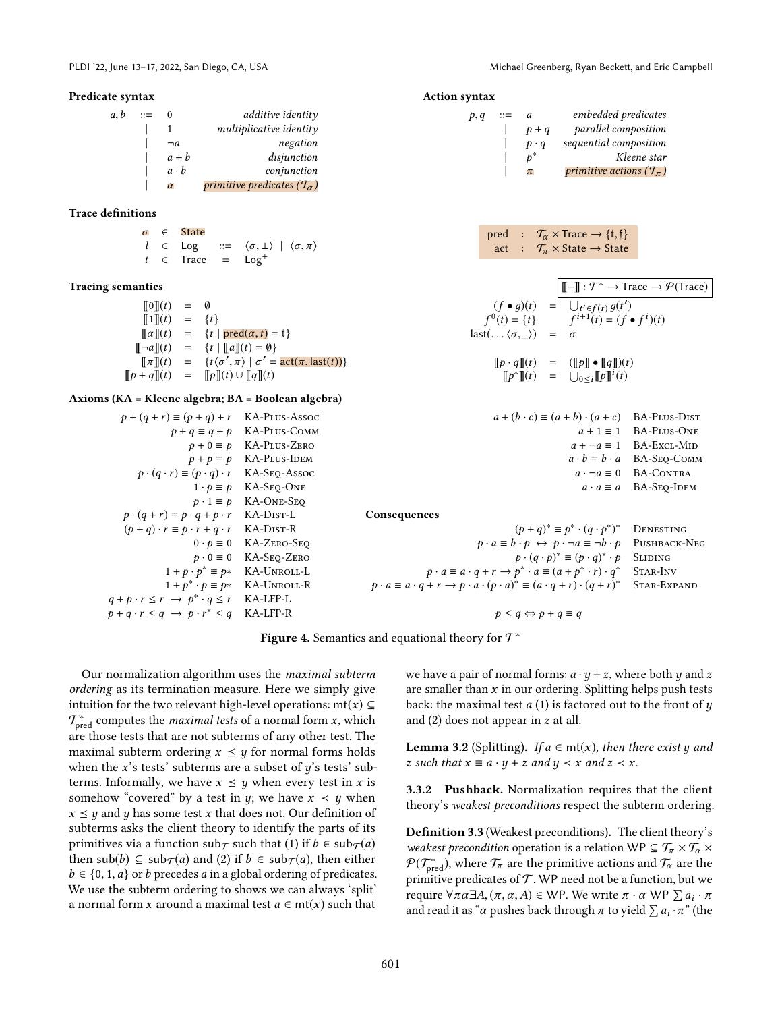$\pi$  primitive actions  $(\mathcal{T}_{\pi})$ 

<sup>∗</sup> Kleene star

 $p, q$  ::= a embedded predicates  $| p + q$  parallel composition  $| p \cdot q$  sequential composition

pred :  $\mathcal{T}_{\alpha} \times \text{Trace} \rightarrow \{t, \hat{t}\}\$ act :  $\mathcal{T}_{\pi} \times$  State  $\rightarrow$  State

 $(f \bullet g)(t) = \bigcup_{t' \in f(t)} g(t')$ <br>  $0(t) = \{t\}$   $f^{i+1}(t) = (f \bullet f^i)(t)$ 

 $\llbracket p \cdot q \rrbracket(t) = (\llbracket p \rrbracket \bullet \llbracket q \rrbracket)(t)$  $[\![p^*]\!] (t) = \bigcup_{0 \leq i} [\![p]\!]^i (t)$ 

 $| p^*$ 

 $f^{0}(t) = \{t\}$  $last(... (\sigma, \ ) ) =$ 

#### <span id="page-7-0"></span>Predicate syntax

| a, b | $\equiv$ |             | additive identity                               |
|------|----------|-------------|-------------------------------------------------|
|      |          |             | $multiplicative$ identity                       |
|      |          | $\neg a$    | negation                                        |
|      |          | $a + b$     | disjunction                                     |
|      |          | $a \cdot b$ | conjunction                                     |
|      |          | $\alpha$    | primitive predicates ( $\mathcal{T}_{\alpha}$ ) |

### Trace definitions

|  | $\sigma \in$ State                                                                      |  |  |
|--|-----------------------------------------------------------------------------------------|--|--|
|  | $l \in \text{Log}$ ::= $\langle \sigma, \perp \rangle \mid \langle \sigma, \pi \rangle$ |  |  |
|  | $t \in \text{Trace} = \text{Log}^+$                                                     |  |  |

## Tracing semantics  $\Vert \llbracket - \rrbracket : \mathcal{T}^* \to \text{Trace} \to \mathcal{P}(\text{Trace})$

| $\llbracket 0 \rrbracket(t)$      | $=$          | Ø                                                                              |
|-----------------------------------|--------------|--------------------------------------------------------------------------------|
| $\P1\mathbb{I}(t)$                | $=$          | $\{t\}$                                                                        |
| $\llbracket \alpha \rrbracket(t)$ | $\alpha = 1$ | $\{t \mid \text{pred}(\alpha, t) = t\}$                                        |
| $\llbracket \neg a \rrbracket(t)$ | $=$          | $\{t \mid   a  (t) = \emptyset\}$                                              |
| $\llbracket \pi \rrbracket(t)$    | $=$          | $\{t\langle\sigma',\pi\rangle \mid \sigma' = \text{act}(\pi,\text{last}(t))\}$ |
| $  p + q  (t)$                    | $=$          | $\llbracket p \rrbracket(t) \cup \llbracket q \rrbracket(t)$                   |

#### Axioms (KA = Kleene algebra; BA = Boolean algebra)

| $p + (q + r) \equiv (p + q) + r$ KA-PLUS-Assoc                 |                                          | $a + (b \cdot c) \equiv (a + b) \cdot (a + c)$ BA-PLUS-DIST                                                                   |                                          |
|----------------------------------------------------------------|------------------------------------------|-------------------------------------------------------------------------------------------------------------------------------|------------------------------------------|
|                                                                | $p + q \equiv q + p$ KA-PLUS-COMM        |                                                                                                                               | $a + 1 \equiv 1$ BA-PLUS-ONE             |
|                                                                | $p + 0 \equiv p$ KA-PLUS-ZERO            |                                                                                                                               | $a + \neg a \equiv 1$ BA-ExcL-MID        |
|                                                                | $p + p \equiv p$ KA-PLUS-IDEM            |                                                                                                                               | $a \cdot b \equiv b \cdot a$ BA-SEO-COMM |
| $p \cdot (q \cdot r) \equiv (p \cdot q) \cdot r$ KA-SEQ-Assoc  |                                          |                                                                                                                               | $a \cdot \neg a \equiv 0$ BA-CONTRA      |
|                                                                | $1 \cdot p \equiv p$ KA-SEQ-ONE          |                                                                                                                               | $a \cdot a \equiv a$ BA-SEO-IDEM         |
|                                                                | $p \cdot 1 \equiv p$ KA-ONE-SEQ          |                                                                                                                               |                                          |
| $p \cdot (q + r) \equiv p \cdot q + p \cdot r$ KA-DIST-L       |                                          | Consequences                                                                                                                  |                                          |
| $(p+q) \cdot r \equiv p \cdot r + q \cdot r$ KA-DIST-R         |                                          | $(p+q)^* \equiv p^* \cdot (q \cdot p^*)^*$                                                                                    | DENESTING                                |
|                                                                | $0 \cdot p \equiv 0$ KA-ZERO-SEQ         | $p \cdot a \equiv b \cdot p \leftrightarrow p \cdot \neg a \equiv \neg b \cdot p$ PUSHBACK-NEG                                |                                          |
|                                                                | $p \cdot 0 \equiv 0$ KA-SEQ-ZERO         | $p \cdot (q \cdot p)^* \equiv (p \cdot q)^* \cdot p$                                                                          | <b>SLIDING</b>                           |
| $1 + p \cdot p^* \equiv p^*$ KA-UNROLL-L                       |                                          | $p \cdot a \equiv a \cdot q + r \rightarrow p^* \cdot a \equiv (a + p^* \cdot r) \cdot q^*$                                   | STAR-INV                                 |
|                                                                | $1 + p^* \cdot p \equiv p^*$ KA-UNROLL-R | $p \cdot a \equiv a \cdot q + r \rightarrow p \cdot a \cdot (p \cdot a)^* \equiv (a \cdot q + r) \cdot (q + r)^*$ STAR-EXPAND |                                          |
| $q+p\cdot r \leq r \rightarrow p^* \cdot q \leq r$ KA-LFP-L    |                                          |                                                                                                                               |                                          |
| $p + q \cdot r \leq q \rightarrow p \cdot r^* \leq q$ KA-LFP-R |                                          | $p \leq q \Leftrightarrow p + q \equiv q$                                                                                     |                                          |
|                                                                |                                          |                                                                                                                               |                                          |

Action syntax

Figure 4. Semantics and equational theory for  $\mathcal{T}^*$ 

Our normalization algorithm uses the maximal subterm ordering as its termination measure. Here we simply give intuition for the two relevant high-level operations: mt(x)  $\subseteq$  $\mathcal{T}^*_\text{pred}$  computes the *maximal tests* of a normal form x, which are those tests that are not subterms of any other test. The maximal subterm ordering  $x \leq y$  for normal forms holds when the x's tests' subterms are a subset of  $y$ 's tests' subterms. Informally, we have  $x \leq y$  when every test in x is somehow "covered" by a test in y; we have  $x \prec y$  when  $x \leq y$  and y has some test x that does not. Our definition of subterms asks the client theory to identify the parts of its primitives via a function sub $\tau$  such that (1) if  $b \in \text{sub}\tau(a)$ then sub(b)  $\subseteq$  sub $_{\mathcal{T}}(a)$  and (2) if  $b \in$  sub $_{\mathcal{T}}(a)$ , then either  $b \in \{0, 1, a\}$  or b precedes a in a global ordering of predicates. We use the subterm ordering to shows we can always 'split' a normal form x around a maximal test  $a \in mt(x)$  such that

we have a pair of normal forms:  $a \cdot y + z$ , where both y and z are smaller than  $x$  in our ordering. Splitting helps push tests back: the maximal test  $a(1)$  is factored out to the front of  $y$ and (2) does not appear in z at all.

<span id="page-7-2"></span>**Lemma 3.2** (Splitting). If  $a \in mt(x)$ , then there exist y and z such that  $x \equiv a \cdot y + z$  and  $y \prec x$  and  $z \prec x$ .

<span id="page-7-1"></span>3.3.2 Pushback. Normalization requires that the client theory's weakest preconditions respect the subterm ordering.

Definition 3.3 (Weakest preconditions). The client theory's weakest precondition operation is a relation WP  $\subseteq$   $\mathcal{T}_{\pi} \times \mathcal{T}_{\alpha} \times$  $\mathcal{P}(\mathcal{T}^*_\text{pred})$ , where  $\mathcal{T}_\pi$  are the primitive actions and  $\mathcal{T}_\alpha$  are the primitive predicates of  $\mathcal T$ . WP need not be a function, but we  $\overline{\text{require}} \ \forall \pi \alpha \exists A, (\pi, \alpha, A) \in \text{WP}$ . We write  $\pi \cdot \alpha \ \text{WP} \sum a_i \cdot \pi$ and read it as " $\alpha$  pushes back through  $\pi$  to yield  $\sum a_i \cdot \pi$ " (the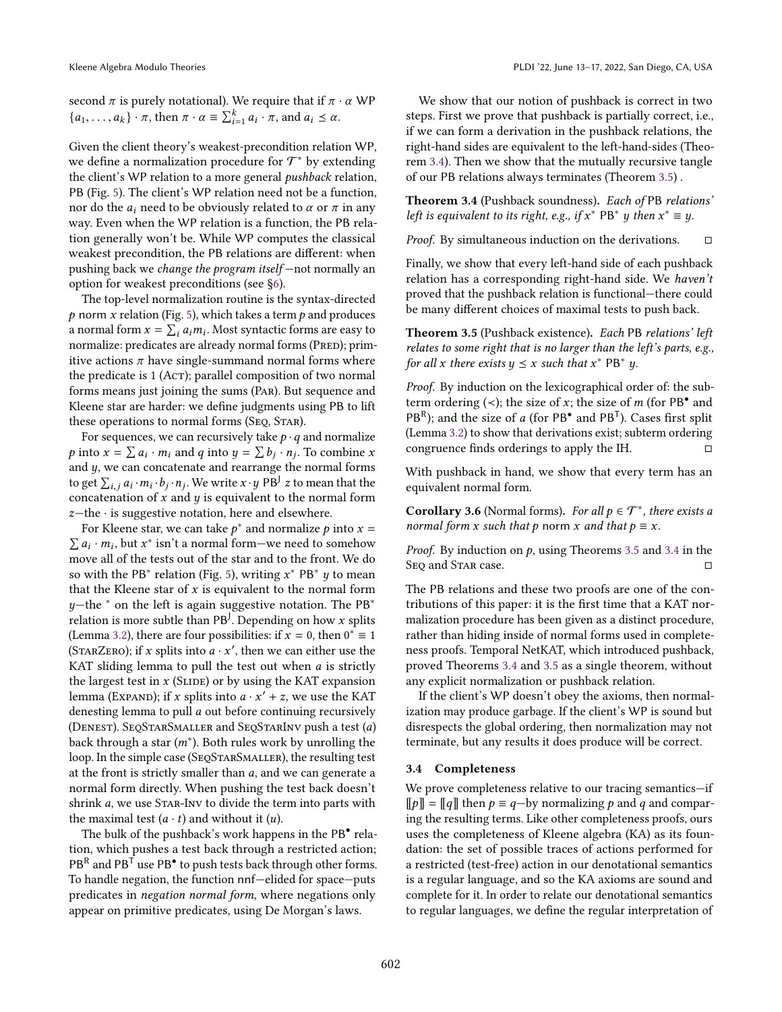second  $\pi$  is purely notational). We require that if  $\pi \cdot \alpha$  WP  ${a_1, \ldots, a_k} \cdot \pi$ , then  $\pi \cdot \alpha \equiv \sum_{i=1}^k a_i \cdot \pi$ , and  $a_i \leq \alpha$ .

Given the client theory's weakest-precondition relation WP, we define a normalization procedure for  $\mathcal{T}^*$  by extending the client's WP relation to a more general pushback relation, PB (Fig. [5\)](#page-9-0). The client's WP relation need not be a function, nor do the  $a_i$  need to be obviously related to  $\alpha$  or  $\pi$  in any way. Even when the WP relation is a function, the PB relation generally won't be. While WP computes the classical weakest precondition, the PB relations are different: when pushing back we *change the program itself*  $-$ not normally an option for weakest preconditions (see [ğ6\)](#page-11-1).

The top-level normalization routine is the syntax-directed  $p$  norm  $x$  relation (Fig. [5\)](#page-9-0), which takes a term  $p$  and produces a normal form  $x = \sum_i a_i m_i$ . Most syntactic forms are easy to normalize: predicates are already normal forms (PRED); primitive actions  $\pi$  have single-summand normal forms where the predicate is 1 (Act); parallel composition of two normal forms means just joining the sums (Par). But sequence and Kleene star are harder: we define judgments using PB to lift these operations to normal forms (SEQ, STAR).

For sequences, we can recursively take  $p \cdot q$  and normalize p into  $x = \sum a_i \cdot m_i$  and q into  $y = \sum b_j \cdot n_j$ . To combine x and  $y$ , we can concatenate and rearrange the normal forms to get  $\sum_{i,j} a_i \cdot m_i \cdot b_j \cdot n_j$ . We write  $x \cdot y$  PB<sup>J</sup> z to mean that the concatenation of  $x$  and  $y$  is equivalent to the normal form  $z$ —the  $\cdot$  is suggestive notation, here and elsewhere.

For Kleene star, we can take  $p^*$  and normalize p into  $x = \sum a_i \cdot m_i$ , but  $x^*$  isn't a normal form—we need to somehow  $a_i \cdot m_i$ , but  $x^*$  isn't a normal form—we need to somehow move all of the tests out of the star and to the front. We do so with the PB $^*$  relation (Fig. [5\)](#page-9-0), writing  $x^*$  PB $^*$   $y$  to mean that the Kleene star of  $x$  is equivalent to the normal form  $y$ −the  $*$  on the left is again suggestive notation. The PB $*$ relation is more subtle than PB<sup>J</sup>. Depending on how x splits (Lemma [3.2\)](#page-7-2), there are four possibilities: if  $x = 0$ , then  $0^* \equiv 1$ (STARZERO); if x splits into  $a \cdot x'$ , then we can either use the KAT sliding lemma to pull the test out when  $a$  is strictly the largest test in  $x$  (SLIDE) or by using the KAT expansion lemma (Expand); if x splits into  $a \cdot x' + z$ , we use the KAT denesting lemma to pull a out before continuing recursively (Denest). SeqStarSmaller and SeqStarInv push a test (a) back through a star  $(m^*)$ . Both rules work by unrolling the loop. In the simple case (SEQSTARSMALLER), the resulting test at the front is strictly smaller than  $a$ , and we can generate a normal form directly. When pushing the test back doesn't shrink a, we use STAR-Inv to divide the term into parts with the maximal test  $(a \cdot t)$  and without it  $(u)$ .

The bulk of the pushback's work happens in the PB<sup>•</sup> relation, which pushes a test back through a restricted action; PB<sup>R</sup> and PB<sup>T</sup> use PB<sup> $\bullet$ </sup> to push tests back through other forms. To handle negation, the function nnf-elided for space-puts predicates in negation normal form, where negations only appear on primitive predicates, using De Morgan's laws.

We show that our notion of pushback is correct in two steps. First we prove that pushback is partially correct, i.e., if we can form a derivation in the pushback relations, the right-hand sides are equivalent to the left-hand-sides (Theorem [3.4\)](#page-8-1). Then we show that the mutually recursive tangle of our PB relations always terminates (Theorem [3.5\)](#page-8-2) .

<span id="page-8-1"></span>Theorem 3.4 (Pushback soundness). Each of PB relations' left is equivalent to its right, e.g., if  $x^*$  PB<sup>\*</sup> y then  $x^* \equiv y$ .

*Proof.* By simultaneous induction on the derivations.  $□$ 

Finally, we show that every left-hand side of each pushback relation has a corresponding right-hand side. We haven't proved that the pushback relation is functional-there could be many different choices of maximal tests to push back.

<span id="page-8-2"></span>Theorem 3.5 (Pushback existence). Each PB relations' left relates to some right that is no larger than the left's parts, e.g., for all x there exists  $y \leq x$  such that  $x^*$  PB<sup>\*</sup> y.

Proof. By induction on the lexicographical order of: the subterm ordering  $(\prec)$ ; the size of x; the size of m (for PB $^{\bullet}$  and  $PB<sup>R</sup>$ ); and the size of a (for PB<sup>•</sup> and PB<sup>T</sup>). Cases first split (Lemma [3.2\)](#page-7-2) to show that derivations exist; subterm ordering congruence finds orderings to apply the IH.

With pushback in hand, we show that every term has an equivalent normal form.

<span id="page-8-3"></span>**Corollary 3.6** (Normal forms). For all  $p \in \mathcal{T}^*$ , there exists a normal form x such that p norm x and that  $p \equiv x$ .

*Proof.* By induction on  $p$ , using Theorems [3.5](#page-8-2) and [3.4](#page-8-1) in the Seq and Star case. □

The PB relations and these two proofs are one of the contributions of this paper: it is the first time that a KAT normalization procedure has been given as a distinct procedure, rather than hiding inside of normal forms used in completeness proofs. Temporal NetKAT, which introduced pushback, proved Theorems [3.4](#page-8-1) and [3.5](#page-8-2) as a single theorem, without any explicit normalization or pushback relation.

If the client's WP doesn't obey the axioms, then normalization may produce garbage. If the client's WP is sound but disrespects the global ordering, then normalization may not terminate, but any results it does produce will be correct.

#### <span id="page-8-0"></span>3.4 Completeness

We prove completeness relative to our tracing semantics-if  $[\![p]\!] = [\![q]\!]$  then  $p \equiv q$ -by normalizing p and q and comparing the resulting terms. Like other completeness proofs, ours uses the completeness of Kleene algebra (KA) as its foundation: the set of possible traces of actions performed for a restricted (test-free) action in our denotational semantics is a regular language, and so the KA axioms are sound and complete for it. In order to relate our denotational semantics to regular languages, we define the regular interpretation of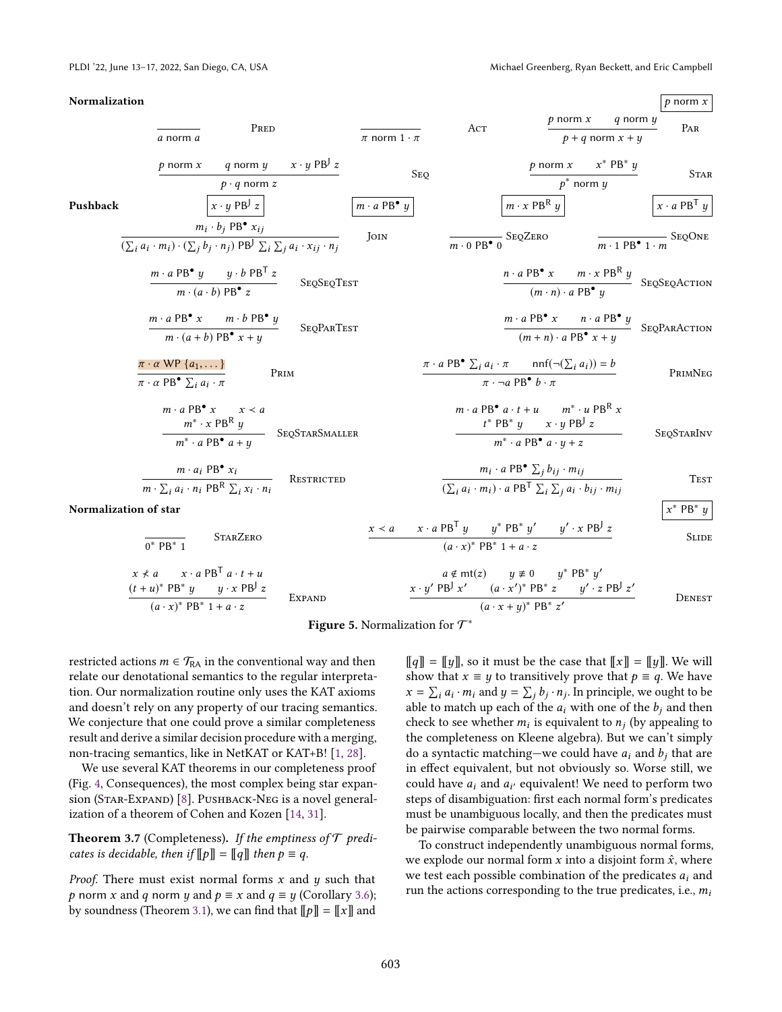<span id="page-9-0"></span>

| Normalization                                                                                                                                                                                                                 |                               |                                                  |                                                                                                                                                                                 | $p$ norm $x$                                                |
|-------------------------------------------------------------------------------------------------------------------------------------------------------------------------------------------------------------------------------|-------------------------------|--------------------------------------------------|---------------------------------------------------------------------------------------------------------------------------------------------------------------------------------|-------------------------------------------------------------|
| PRED<br>a norm a                                                                                                                                                                                                              | $\pi$ norm $1 \cdot \pi$      | Act                                              | $p$ norm $x$<br>$p + q$ norm $x + y$                                                                                                                                            | q norm y<br>PAR                                             |
| q norm $y = x \cdot y$ PB <sup>J</sup> z<br>$p$ norm $x$<br>$p \cdot q$ norm z                                                                                                                                                |                               | <b>SEO</b>                                       | p norm $x$ $x^*$ PB <sup>*</sup> y<br>$p^*$ norm $y$                                                                                                                            | <b>STAR</b>                                                 |
| $x \cdot y$ PB <sup>J</sup> z<br>Pushback                                                                                                                                                                                     | $m \cdot a$ PB $^{\bullet}$ y |                                                  | $m \cdot x$ PB <sup>R</sup> $y$                                                                                                                                                 | $x \cdot a$ PB <sup>T</sup> y                               |
| $m_i \cdot b_i$ PB <sup>•</sup> $x_{ij}$<br>$(\sum_i a_i \cdot m_i) \cdot (\sum_j b_j \cdot n_j)$ PB <sup>J</sup> $\sum_i \overline{\sum_j a_i \cdot x_{ij} \cdot n_j}$                                                       | <b>IOIN</b>                   | $\frac{1}{m \cdot 0 \text{ PB}} \cdot 0$ SeqZero |                                                                                                                                                                                 | $\frac{1}{m \cdot 1 \text{ PB}^{\bullet} 1 \cdot m}$ SeqOne |
| $m \cdot a PB^{\bullet} y$ $y \cdot b PB^{T} z$<br>SEQSEQTEST<br>$m \cdot (a \cdot b) PB^{\bullet} z$                                                                                                                         |                               |                                                  | $\frac{n \cdot a \, \text{PB}^{\bullet} \, x \qquad m \cdot x \, \text{PB}^{\text{R}} \, y}{(m \cdot n) \cdot a \, \text{PB}^{\bullet} \, y}$ SEQSEQACTION                      |                                                             |
| $\frac{m \cdot a \, \text{PB}^{\bullet} \, x \qquad m \cdot b \, \text{PB}^{\bullet} \, y}{m \cdot (a+b) \, \text{PB}^{\bullet} \, x + y}$<br><b>SEQPARTEST</b>                                                               |                               |                                                  | $\frac{m \cdot a \, \text{PB}^{\bullet} \, x \qquad n \cdot a \, \text{PB}^{\bullet} \, y}{(m+n) \cdot a \, \text{PB}^{\bullet} \, x + y}$ SEQPARACTION                         |                                                             |
| $\pi \cdot \alpha$ WP $\{a_1, \dots\}$<br>PRIM<br>$\pi \cdot \alpha$ PB <sup>•</sup> $\sum_i a_i \cdot \pi$                                                                                                                   |                               |                                                  | $\pi \cdot a$ PB <sup>•</sup> $\sum_i a_i \cdot \pi$ nnf( $\neg(\sum_i a_i)$ ) = b<br>$\pi \cdot \neg a$ PB <sup>•</sup> $b \cdot \pi$                                          | PRIMNEG                                                     |
| $m \cdot a$ PB <sup><math>\bullet</math></sup> $x \quad x \prec a$<br>$\begin{array}{cc}\nm^* \cdot x & \text{PBR} \ y \\ \hline\nm^* \cdot a & \text{PB}^{\bullet} \ a + y\n\end{array}\quad\text{SegSTARS}_{\text{MALLER}}$ |                               |                                                  | $m \cdot a PB^{\bullet} a \cdot t + u$ $m^* \cdot u PB^{\mathsf{R}} x$<br>$t^*$ PB <sup>*</sup> $y$ $x \cdot y$ PB <sup>J</sup> $z$<br>$m^* \cdot a PB^{\bullet} a \cdot y + z$ | SEQSTARINV                                                  |
| $\frac{m \cdot a_i \text{ PB}^{\bullet} x_i}{m \cdot \sum_i a_i \cdot n_i \text{ PB}^{\text{R}} \sum_i x_i \cdot n_i}$<br>RESTRICTED                                                                                          |                               |                                                  | $m_i \cdot a$ PB <sup>•</sup> $\sum_j b_{ij} \cdot m_{ij}$<br>$\overline{(\sum_i a_i \cdot m_i) \cdot a}$ PB <sup>T</sup> $\sum_i \sum_j a_i \cdot b_{ij} \cdot m_{ij}$         | <b>TEST</b>                                                 |
| Normalization of star                                                                                                                                                                                                         |                               |                                                  |                                                                                                                                                                                 | $x^*$ PB <sup>*</sup> $y$                                   |
| <b>STARZERO</b><br>$0^*$ PB $*$ 1                                                                                                                                                                                             | $x \prec a$                   | $(a \cdot x)^*$ PB <sup>*</sup> 1 + a · z        | $x \cdot a$ PB <sup>T</sup> $y$ $y^*$ PB <sup>*</sup> $y'$ $y' \cdot x$ PB <sup>J</sup> z                                                                                       | <b>SLIDE</b>                                                |
| $x \nmid a$ $x \cdot a$ PB <sup>T</sup> $a \cdot t + u$<br>$(t+u)^* \ \mathsf{PB}^* \ y \qquad y \cdot x \ \mathsf{PB}^{\mathsf{J}} \ z$<br><b>EXPAND</b>                                                                     |                               |                                                  | $a \notin mt(z)$ $y \neq 0$ $y^*$ PB <sup>*</sup> y'<br>$x \cdot y'$ PB <sup>J</sup> $x'$ $(a \cdot x')^*$ PB <sup>*</sup> $z$ $y' \cdot z$ PB <sup>J</sup> $z'$                | DENEST                                                      |



restricted actions  $m \in \mathcal{T}_{RA}$  in the conventional way and then relate our denotational semantics to the regular interpretation. Our normalization routine only uses the KAT axioms and doesn't rely on any property of our tracing semantics. We conjecture that one could prove a similar completeness result and derive a similar decision procedure with a merging, non-tracing semantics, like in NetKAT or KAT+B! [\[1,](#page-13-4) [28\]](#page-13-12).

 $(a \cdot x)^*$  PB<sup>\*</sup> 1 + a · z

We use several KAT theorems in our completeness proof (Fig. [4,](#page-7-0) Consequences), the most complex being star expan-sion (STAR-EXPAND) [\[8\]](#page-13-6). PUSHBACK-NEG is a novel generalization of a theorem of Cohen and Kozen [\[14,](#page-13-18) [31\]](#page-14-15).

**Theorem 3.7** (Completeness). If the emptiness of  $\mathcal T$  predicates is decidable, then if  $[ p ] ] = [ q ]$  then  $p \equiv q$ .

*Proof.* There must exist normal forms  $x$  and  $y$  such that p norm x and q norm y and  $p \equiv x$  and  $q \equiv y$  (Corollary [3.6\)](#page-8-3); by soundness (Theorem [3.1\)](#page-6-2), we can find that  $[\![p]\!] = [\![x]\!]$  and  $\llbracket q \rrbracket = \llbracket y \rrbracket$ , so it must be the case that  $\llbracket x \rrbracket = \llbracket y \rrbracket$ . We will show that  $x \equiv y$  to transitively prove that  $p \equiv q$ . We have  $x = \sum_i a_i \cdot m_i$  and  $y = \sum_j b_j \cdot n_j$ . In principle, we ought to be able to match up each of the  $a_i$  with one of the  $b_i$  and then check to see whether  $m_i$  is equivalent to  $n_j$  (by appealing to the completeness on Kleene algebra). But we can't simply do a syntactic matching—we could have  $a_i$  and  $b_i$  that are in effect equivalent, but not obviously so. Worse still, we could have  $a_i$  and  $a_{i'}$  equivalent! We need to perform two steps of disambiguation: first each normal form's predicates must be unambiguous locally, and then the predicates must be pairwise comparable between the two normal forms.

 $(a \cdot x + y)^*$  PB<sup>\*</sup> z'

To construct independently unambiguous normal forms, we explode our normal form x into a disjoint form  $\hat{x}$ , where we test each possible combination of the predicates  $a_i$  and run the actions corresponding to the true predicates, i.e.,  $m_i$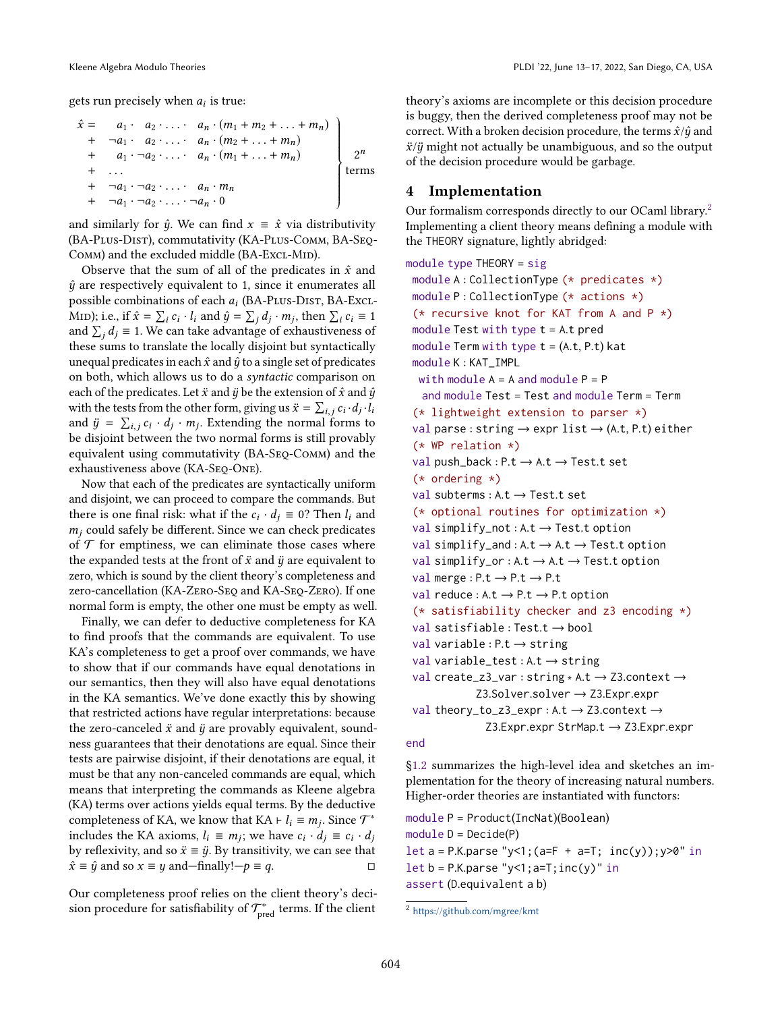gets run precisely when  $a_i$  is true:

$$
\hat{x} = a_1 \cdot a_2 \cdot \ldots \cdot a_n \cdot (m_1 + m_2 + \ldots + m_n) \n+ a_1 \cdot a_2 \cdot \ldots \cdot a_n \cdot (m_2 + \ldots + m_n) \n+ a_1 \cdot a_2 \cdot \ldots \cdot a_n \cdot (m_1 + \ldots + m_n) \n+ \ldots \n+ a_1 \cdot a_2 \cdot \ldots \cdot a_n \cdot m_n \n+ a_1 \cdot a_2 \cdot \ldots \cdot a_n \cdot 0
$$
\nterms

and similarly for  $\hat{y}$ . We can find  $x \equiv \hat{x}$  via distributivity (BA-Plus-Dist), commutativity (KA-Plus-Comm, BA-Seq-COMM) and the excluded middle (BA-ExcL-MID).

Observe that the sum of all of the predicates in  $\hat{x}$  and  $\hat{y}$  are respectively equivalent to 1, since it enumerates all possible combinations of each  $a_i$  (BA-PLUs-DIST, BA-Excl-Mid); i.e., if  $\hat{x} = \sum_i c_i \cdot l_i$  and  $\hat{y} = \sum_j d_j \cdot m_j$ , then  $\sum_i c_i \equiv 1$ and  $\sum_j d_j \equiv 1$ . We can take advantage of exhaustiveness of these sums to translate the locally disjoint but syntactically unequal predicates in each  $\hat{x}$  and  $\hat{y}$  to a single set of predicates on both, which allows us to do a syntactic comparison on each of the predicates. Let  $\ddot{x}$  and  $\ddot{y}$  be the extension of  $\hat{x}$  and  $\hat{y}$ with the tests from the other form, giving us  $\ddot{x} = \sum_{i,j} c_i \cdot d_j \cdot \ddot{l}_i$ and  $\ddot{y} = \sum_{i,j} c_i \cdot d_j \cdot m_j$ . Extending the normal forms to be disjoint between the two normal forms is still provably equivalent using commutativity (BA-Seq-Comm) and the exhaustiveness above (KA-SEQ-ONE).

Now that each of the predicates are syntactically uniform and disjoint, we can proceed to compare the commands. But there is one final risk: what if the  $c_i \cdot d_j \equiv 0$ ? Then  $l_i$  and  $m_i$  could safely be different. Since we can check predicates of  $\mathcal T$  for emptiness, we can eliminate those cases where the expanded tests at the front of  $\ddot{x}$  and  $\ddot{y}$  are equivalent to zero, which is sound by the client theory's completeness and zero-cancellation (KA-Zero-Seq and KA-Seq-Zero). If one normal form is empty, the other one must be empty as well.

Finally, we can defer to deductive completeness for KA to find proofs that the commands are equivalent. To use KA's completeness to get a proof over commands, we have to show that if our commands have equal denotations in our semantics, then they will also have equal denotations in the KA semantics. We've done exactly this by showing that restricted actions have regular interpretations: because the zero-canceled  $\ddot{x}$  and  $\ddot{y}$  are provably equivalent, soundness guarantees that their denotations are equal. Since their tests are pairwise disjoint, if their denotations are equal, it must be that any non-canceled commands are equal, which means that interpreting the commands as Kleene algebra (KA) terms over actions yields equal terms. By the deductive completeness of KA, we know that KA  $\vdash l_i \equiv m_j$ . Since  $\mathcal{T}^*$ includes the KA axioms,  $l_i \equiv m_j$ ; we have  $c_i \cdot d_j \equiv c_i \cdot d_j$ by reflexivity, and so  $\ddot{x} \equiv \ddot{y}$ . By transitivity, we can see that  $\hat{x} \equiv \hat{y}$  and so  $x \equiv y$  and—finally!— $p \equiv q$ .

Our completeness proof relies on the client theory's decision procedure for satisfiability of  $\mathcal{T}^*_{\text{pred}}$  terms. If the client

theory's axioms are incomplete or this decision procedure is buggy, then the derived completeness proof may not be correct. With a broken decision procedure, the terms  $\hat{x}/\hat{y}$  and  $\ddot{x}/\ddot{y}$  might not actually be unambiguous, and so the output of the decision procedure would be garbage.

#### <span id="page-10-0"></span>4 Implementation

Our formalism corresponds directly to our OCaml library.<sup>[2](#page-10-1)</sup> Implementing a client theory means defining a module with the THEORY signature, lightly abridged:

```
module type THEORY = sigmodule A : CollectionType (* predicates *)
 module P : CollectionType (* actions *)
 (* recursive knot for KAT from A and P *)
 module Test with type t = A \cdot t pred
 module Term with type t = (A.t, P.t) kat
 module K : KAT_IMPL
  with module A = A and module P = Pand module Test = Test and module Term = Term(* lightweight extension to parser *)
 val parse : string \rightarrow expr list \rightarrow (A.t, P.t) either
 (* WP relation *)val push_back : P.t \rightarrow A.t \rightarrow Test.t set
 (* ordering *)
 val subterms : A.t \rightarrow Test.t set
 (* optional routines for optimization *)
 val simplify_not: A.t \rightarrow Test.t option
 val simplify_and : A.t \rightarrow A.t \rightarrow Test.t option
 val simplify_or : A.t \rightarrow A.t \rightarrow Test.t option
 val merge : P.t \rightarrow P.t \rightarrow P.tval reduce : A.t \rightarrow P.t \rightarrow P.t option
 (* satisfiability checker and z3 encoding *)
 val satisfiable : Test.t \rightarrow bool
 val variable : P.t \rightarrow string
 val variable_test : A.t \rightarrow string
 val create_z3_var : string * A.t → Z3.context →
             Z3.Solver.solver → Z3.Expr.expr
 val theory_to_z3_expr : A.t → Z3.context →
               Z3.Expr.expr StrMap.t → Z3.Expr.expr
```
#### end

[ğ1.2](#page-2-1) summarizes the high-level idea and sketches an implementation for the theory of increasing natural numbers. Higher-order theories are instantiated with functors:

```
module P = Product(IncNat)(Boolean)
module D = Decide(P)let a = P.K.parse "y<1; (a=F + a=T; inc(y)); y>0" in
let b = P.K.parse "y<1; a=T; inc(y)" in
assert (D.equivalent a b)
```
<span id="page-10-1"></span><sup>2</sup> <https://github.com/mgree/kmt>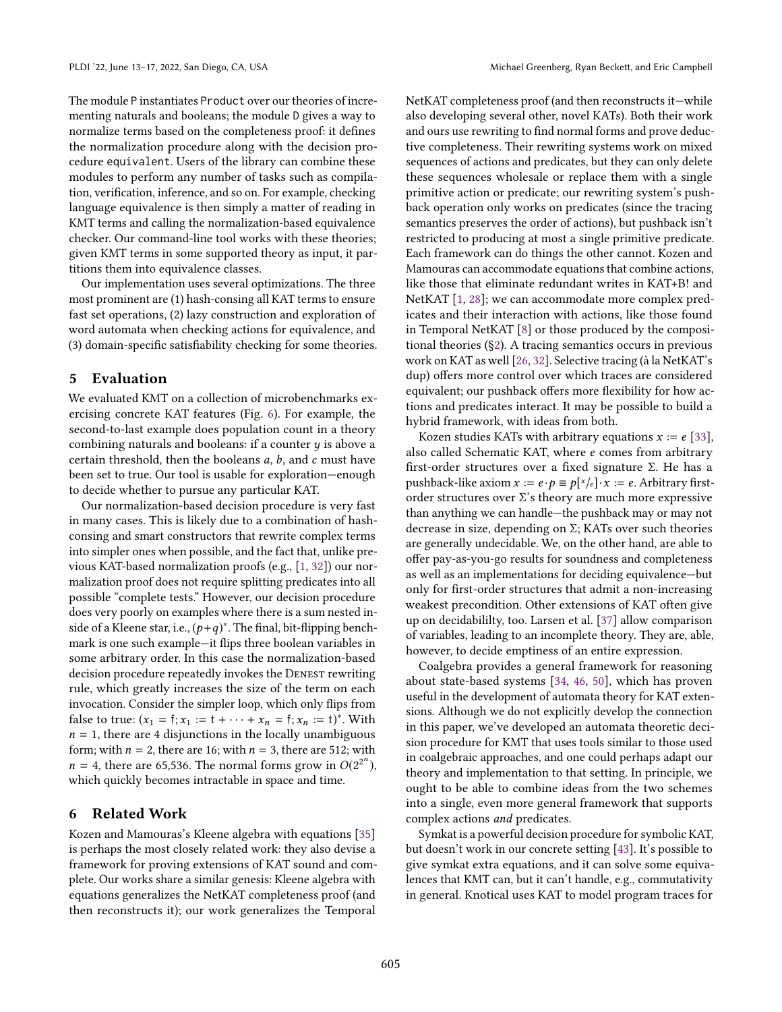The module P instantiates Product over our theories of incrementing naturals and booleans; the module D gives a way to normalize terms based on the completeness proof: it defines the normalization procedure along with the decision procedure equivalent. Users of the library can combine these modules to perform any number of tasks such as compilation, verification, inference, and so on. For example, checking language equivalence is then simply a matter of reading in KMT terms and calling the normalization-based equivalence checker. Our command-line tool works with these theories; given KMT terms in some supported theory as input, it partitions them into equivalence classes.

Our implementation uses several optimizations. The three most prominent are (1) hash-consing all KAT terms to ensure fast set operations, (2) lazy construction and exploration of word automata when checking actions for equivalence, and (3) domain-specific satisfiability checking for some theories.

## <span id="page-11-0"></span>5 Evaluation

We evaluated KMT on a collection of microbenchmarks exercising concrete KAT features (Fig. [6\)](#page-12-0). For example, the second-to-last example does population count in a theory combining naturals and booleans: if a counter  $y$  is above a certain threshold, then the booleans a, b, and c must have been set to true. Our tool is usable for exploration–enough to decide whether to pursue any particular KAT.

Our normalization-based decision procedure is very fast in many cases. This is likely due to a combination of hashconsing and smart constructors that rewrite complex terms into simpler ones when possible, and the fact that, unlike previous KAT-based normalization proofs (e.g., [\[1,](#page-13-4) [32\]](#page-14-10)) our normalization proof does not require splitting predicates into all possible "complete tests." However, our decision procedure does very poorly on examples where there is a sum nested inside of a Kleene star, i.e.,  $(p+q)^*$ . The final, bit-flipping benchmark is one such example—it flips three boolean variables in some arbitrary order. In this case the normalization-based decision procedure repeatedly invokes the DENEST rewriting rule, which greatly increases the size of the term on each invocation. Consider the simpler loop, which only flips from false to true:  $(x_1 = \hat{y}; x_1 := \hat{y} + \cdots + x_n = \hat{y}; x_n := \hat{y}^*$ . With  $n = 1$ , there are 4 disjunctions in the locally unambiguous form; with  $n = 2$ , there are 16; with  $n = 3$ , there are 512; with  $n = 4$ , there are 65,536. The normal forms grow in  $O(2^{2^n})$ , which quickly becomes intractable in space and time.

## <span id="page-11-1"></span>6 Related Work

Kozen and Mamouras's Kleene algebra with equations [\[35\]](#page-14-12) is perhaps the most closely related work: they also devise a framework for proving extensions of KAT sound and complete. Our works share a similar genesis: Kleene algebra with equations generalizes the NetKAT completeness proof (and then reconstructs it); our work generalizes the Temporal

NetKAT completeness proof (and then reconstructs it—while also developing several other, novel KATs). Both their work and ours use rewriting to find normal forms and prove deductive completeness. Their rewriting systems work on mixed sequences of actions and predicates, but they can only delete these sequences wholesale or replace them with a single primitive action or predicate; our rewriting system's pushback operation only works on predicates (since the tracing semantics preserves the order of actions), but pushback isn't restricted to producing at most a single primitive predicate. Each framework can do things the other cannot. Kozen and Mamouras can accommodate equations that combine actions, like those that eliminate redundant writes in KAT+B! and NetKAT [\[1,](#page-13-4) [28\]](#page-13-12); we can accommodate more complex predicates and their interaction with actions, like those found in Temporal NetKAT [\[8\]](#page-13-6) or those produced by the compositional theories ([ğ2\)](#page-3-0). A tracing semantics occurs in previous work on KAT as well [\[26,](#page-13-19) [32\]](#page-14-10). Selective tracing (à la NetKAT's dup) offers more control over which traces are considered equivalent; our pushback offers more flexibility for how actions and predicates interact. It may be possible to build a hybrid framework, with ideas from both.

Kozen studies KATs with arbitrary equations  $x := e$  [\[33\]](#page-14-13), also called Schematic KAT, where e comes from arbitrary first-order structures over a fixed signature Σ. He has a pushback-like axiom  $x := e \cdot p \equiv p[x/e] \cdot x := e$ . Arbitrary firstorder structures over Σ's theory are much more expressive than anything we can handle-the pushback may or may not decrease in size, depending on  $\Sigma$ ; KATs over such theories are generally undecidable. We, on the other hand, are able to offer pay-as-you-go results for soundness and completeness as well as an implementations for deciding equivalence-but only for first-order structures that admit a non-increasing weakest precondition. Other extensions of KAT often give up on decidabililty, too. Larsen et al. [\[37\]](#page-14-1) allow comparison of variables, leading to an incomplete theory. They are, able, however, to decide emptiness of an entire expression.

Coalgebra provides a general framework for reasoning about state-based systems [\[34,](#page-14-7) [46,](#page-14-16) [50\]](#page-14-17), which has proven useful in the development of automata theory for KAT extensions. Although we do not explicitly develop the connection in this paper, we've developed an automata theoretic decision procedure for KMT that uses tools similar to those used in coalgebraic approaches, and one could perhaps adapt our theory and implementation to that setting. In principle, we ought to be able to combine ideas from the two schemes into a single, even more general framework that supports complex actions and predicates.

Symkat is a powerful decision procedure for symbolic KAT, but doesn't work in our concrete setting [\[43\]](#page-14-9). It's possible to give symkat extra equations, and it can solve some equivalences that KMT can, but it can't handle, e.g., commutativity in general. Knotical uses KAT to model program traces for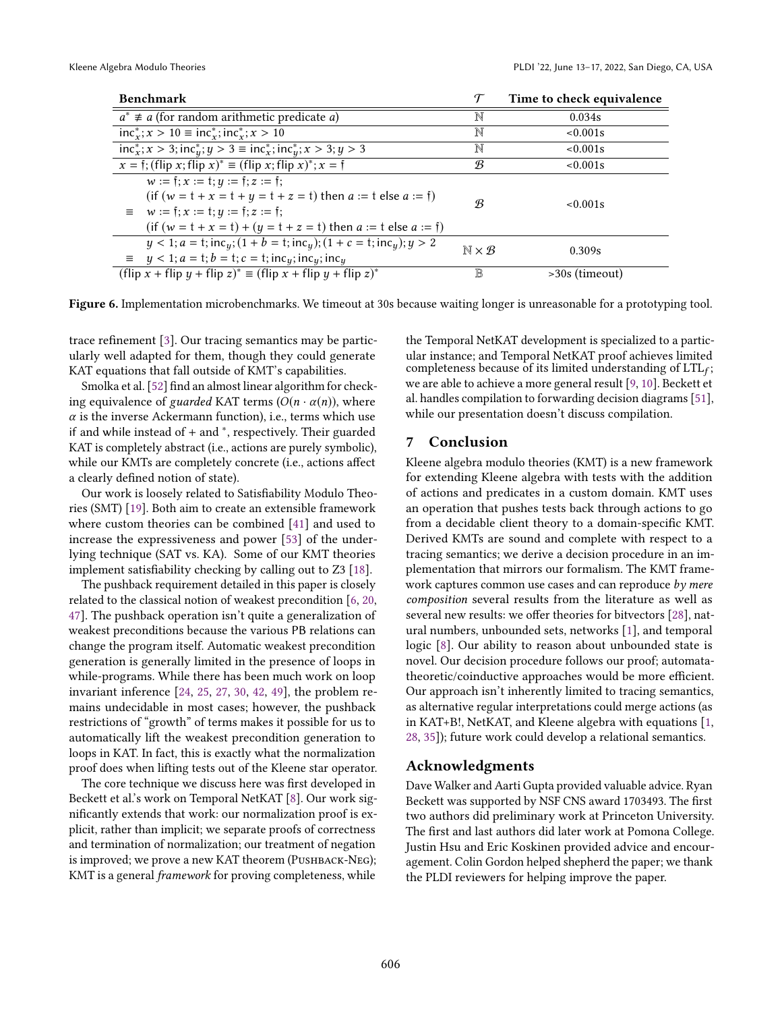<span id="page-12-0"></span>

| <b>Benchmark</b>                                                                                                                                                                                                            |                        | Time to check equivalence |
|-----------------------------------------------------------------------------------------------------------------------------------------------------------------------------------------------------------------------------|------------------------|---------------------------|
| $a^* \neq a$ (for random arithmetic predicate a)                                                                                                                                                                            | N                      | 0.034s                    |
| $inc_x^*$ ; $x > 10 \equiv inc_x^*$ ; $inc_x^*$ ; $x > 10$                                                                                                                                                                  | N                      | $< 0.001$ s               |
| $incx*; x > 3; incy*; y > 3 \equiv incx*; incy*; x > 3; y > 3$                                                                                                                                                              | N                      | $< 0.001$ s               |
| $x = f$ ; (flip x; flip x) <sup>*</sup> = (flip x; flip x) <sup>*</sup> ; x = f                                                                                                                                             | B                      | $< 0.001$ s               |
| $w := f: x := t: y := f: z := f$ ;<br>(if $(w = t + x = t + y = t + z = t)$ ) then $a := t$ else $a := f$ )<br>$= w := f: x := t: y := f: z := f;$<br>(if $(w = t + x = t) + (y = t + z = t)$ then $a := t$ else $a := t$ ) | B                      | $< 0.001$ s               |
| $y < 1; a = t; incy; (1 + b = t; incy); (1 + c = t; incy); y > 2$<br>$\equiv y < 1; a = t; b = t; c = t; inc_y; inc_y; inc_y$                                                                                               | $N \times \mathcal{B}$ | 0.309s                    |
| (flip x + flip y + flip z) <sup>*</sup> $\equiv$ (flip x + flip y + flip z) <sup>*</sup>                                                                                                                                    | B                      | $>30s$ (timeout)          |

Figure 6. Implementation microbenchmarks. We timeout at 30s because waiting longer is unreasonable for a prototyping tool.

trace refinement [\[3\]](#page-13-20). Our tracing semantics may be particularly well adapted for them, though they could generate KAT equations that fall outside of KMT's capabilities.

Smolka et al. [\[52\]](#page-14-11) find an almost linear algorithm for checking equivalence of guarded KAT terms  $(O(n \cdot \alpha(n))$ , where  $\alpha$  is the inverse Ackermann function), i.e., terms which use if and while instead of + and <sup>∗</sup> , respectively. Their guarded KAT is completely abstract (i.e., actions are purely symbolic), while our KMTs are completely concrete (i.e., actions affect a clearly defined notion of state).

Our work is loosely related to Satisfiability Modulo Theories (SMT) [\[19\]](#page-13-21). Both aim to create an extensible framework where custom theories can be combined [\[41\]](#page-14-18) and used to increase the expressiveness and power [\[53\]](#page-14-19) of the underlying technique (SAT vs. KA). Some of our KMT theories implement satisfiability checking by calling out to Z3 [\[18\]](#page-13-22).

The pushback requirement detailed in this paper is closely related to the classical notion of weakest precondition [\[6,](#page-13-23) [20,](#page-13-24) [47\]](#page-14-20). The pushback operation isn't quite a generalization of weakest preconditions because the various PB relations can change the program itself. Automatic weakest precondition generation is generally limited in the presence of loops in while-programs. While there has been much work on loop invariant inference [\[24,](#page-13-25) [25,](#page-13-26) [27,](#page-13-27) [30,](#page-14-21) [42,](#page-14-22) [49\]](#page-14-23), the problem remains undecidable in most cases; however, the pushback restrictions of "growth" of terms makes it possible for us to automatically lift the weakest precondition generation to loops in KAT. In fact, this is exactly what the normalization proof does when lifting tests out of the Kleene star operator.

The core technique we discuss here was first developed in Beckett et al.'s work on Temporal NetKAT [\[8\]](#page-13-6). Our work significantly extends that work: our normalization proof is explicit, rather than implicit; we separate proofs of correctness and termination of normalization; our treatment of negation is improved; we prove a new KAT theorem (PUSHBACK-NEG); KMT is a general framework for proving completeness, while

the Temporal NetKAT development is specialized to a particular instance; and Temporal NetKAT proof achieves limited completeness because of its limited understanding of  $LTL_f$ ; we are able to achieve a more general result [\[9,](#page-13-17) [10\]](#page-13-14). Beckett et al. handles compilation to forwarding decision diagrams [\[51\]](#page-14-4), while our presentation doesn't discuss compilation.

## 7 Conclusion

Kleene algebra modulo theories (KMT) is a new framework for extending Kleene algebra with tests with the addition of actions and predicates in a custom domain. KMT uses an operation that pushes tests back through actions to go from a decidable client theory to a domain-specific KMT. Derived KMTs are sound and complete with respect to a tracing semantics; we derive a decision procedure in an implementation that mirrors our formalism. The KMT framework captures common use cases and can reproduce by mere composition several results from the literature as well as several new results: we offer theories for bitvectors [\[28\]](#page-13-12), natural numbers, unbounded sets, networks [\[1\]](#page-13-4), and temporal logic [\[8\]](#page-13-6). Our ability to reason about unbounded state is novel. Our decision procedure follows our proof; automatatheoretic/coinductive approaches would be more efficient. Our approach isn't inherently limited to tracing semantics, as alternative regular interpretations could merge actions (as in KAT+B!, NetKAT, and Kleene algebra with equations [\[1,](#page-13-4) [28,](#page-13-12) [35\]](#page-14-12)); future work could develop a relational semantics.

## Acknowledgments

Dave Walker and Aarti Gupta provided valuable advice. Ryan Beckett was supported by NSF CNS award 1703493. The first two authors did preliminary work at Princeton University. The first and last authors did later work at Pomona College. Justin Hsu and Eric Koskinen provided advice and encouragement. Colin Gordon helped shepherd the paper; we thank the PLDI reviewers for helping improve the paper.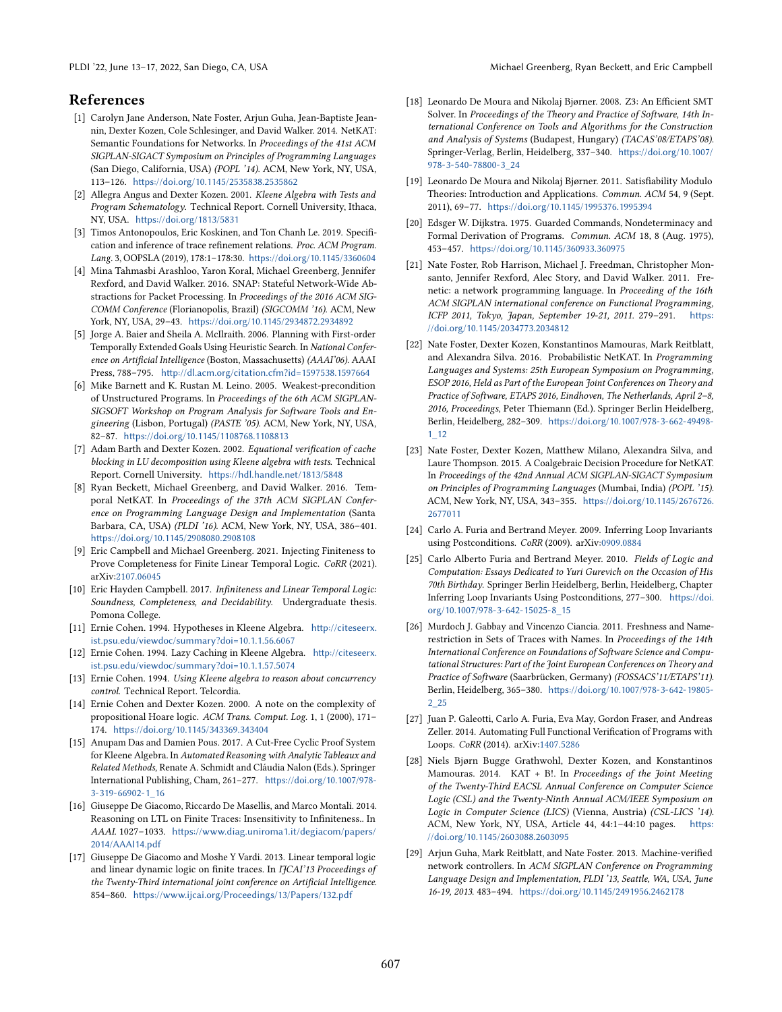## References

- <span id="page-13-4"></span>[1] Carolyn Jane Anderson, Nate Foster, Arjun Guha, Jean-Baptiste Jeannin, Dexter Kozen, Cole Schlesinger, and David Walker. 2014. NetKAT: Semantic Foundations for Networks. In Proceedings of the 41st ACM SIGPLAN-SIGACT Symposium on Principles of Programming Languages (San Diego, California, USA) (POPL '14). ACM, New York, NY, USA, 113-126. <https://doi.org/10.1145/2535838.2535862>
- <span id="page-13-0"></span>[2] Allegra Angus and Dexter Kozen. 2001. Kleene Algebra with Tests and Program Schematology. Technical Report. Cornell University, Ithaca, NY, USA. <https://doi.org/1813/5831>
- <span id="page-13-20"></span>[3] Timos Antonopoulos, Eric Koskinen, and Ton Chanh Le. 2019. Specification and inference of trace refinement relations. Proc. ACM Program. Lang. 3, OOPSLA (2019), 178:1-178:30. <https://doi.org/10.1145/3360604>
- <span id="page-13-5"></span>[4] Mina Tahmasbi Arashloo, Yaron Koral, Michael Greenberg, Jennifer Rexford, and David Walker. 2016. SNAP: Stateful Network-Wide Abstractions for Packet Processing. In Proceedings of the 2016 ACM SIG-COMM Conference (Florianopolis, Brazil) (SIGCOMM '16). ACM, New York, NY, USA, 29-43. <https://doi.org/10.1145/2934872.2934892>
- <span id="page-13-13"></span>[5] Jorge A. Baier and Sheila A. McIlraith. 2006. Planning with First-order Temporally Extended Goals Using Heuristic Search. In National Conference on Artificial Intelligence (Boston, Massachusetts) (AAAI'06). AAAI Press, 788-795. <http://dl.acm.org/citation.cfm?id=1597538.1597664>
- <span id="page-13-23"></span>[6] Mike Barnett and K. Rustan M. Leino. 2005. Weakest-precondition of Unstructured Programs. In Proceedings of the 6th ACM SIGPLAN-SIGSOFT Workshop on Program Analysis for Software Tools and Engineering (Lisbon, Portugal) (PASTE '05). ACM, New York, NY, USA, 82-87. <https://doi.org/10.1145/1108768.1108813>
- <span id="page-13-1"></span>[7] Adam Barth and Dexter Kozen. 2002. Equational verification of cache blocking in LU decomposition using Kleene algebra with tests. Technical Report. Cornell University. <https://hdl.handle.net/1813/5848>
- <span id="page-13-6"></span>[8] Ryan Beckett, Michael Greenberg, and David Walker. 2016. Temporal NetKAT. In Proceedings of the 37th ACM SIGPLAN Conference on Programming Language Design and Implementation (Santa Barbara, CA, USA) (PLDI '16). ACM, New York, NY, USA, 386-401. <https://doi.org/10.1145/2908080.2908108>
- <span id="page-13-17"></span>[9] Eric Campbell and Michael Greenberg. 2021. Injecting Finiteness to Prove Completeness for Finite Linear Temporal Logic. CoRR (2021). arXiv[:2107.06045](https://arxiv.org/abs/2107.06045)
- <span id="page-13-14"></span>[10] Eric Hayden Campbell. 2017. Infiniteness and Linear Temporal Logic: Soundness, Completeness, and Decidability. Undergraduate thesis. Pomona College.
- <span id="page-13-2"></span>[11] Ernie Cohen. 1994. Hypotheses in Kleene Algebra. [http://citeseerx.](http://citeseerx.ist.psu.edu/viewdoc/summary?doi=10.1.1.56.6067) [ist.psu.edu/viewdoc/summary?doi=10.1.1.56.6067](http://citeseerx.ist.psu.edu/viewdoc/summary?doi=10.1.1.56.6067)
- [12] Ernie Cohen. 1994. Lazy Caching in Kleene Algebra. [http://citeseerx.](http://citeseerx.ist.psu.edu/viewdoc/summary?doi=10.1.1.57.5074) [ist.psu.edu/viewdoc/summary?doi=10.1.1.57.5074](http://citeseerx.ist.psu.edu/viewdoc/summary?doi=10.1.1.57.5074)
- <span id="page-13-3"></span>[13] Ernie Cohen. 1994. Using Kleene algebra to reason about concurrency control. Technical Report. Telcordia.
- <span id="page-13-18"></span>[14] Ernie Cohen and Dexter Kozen. 2000. A note on the complexity of propositional Hoare logic. ACM Trans. Comput. Log. 1, 1 (2000), 171-174. <https://doi.org/10.1145/343369.343404>
- <span id="page-13-11"></span>[15] Anupam Das and Damien Pous. 2017. A Cut-Free Cyclic Proof System for Kleene Algebra. In Automated Reasoning with Analytic Tableaux and Related Methods, Renate A. Schmidt and Cláudia Nalon (Eds.). Springer International Publishing, Cham, 261-277. [https://doi.org/10.1007/978-](https://doi.org/10.1007/978-3-319-66902-1_16) [3-319-66902-1\\_16](https://doi.org/10.1007/978-3-319-66902-1_16)
- <span id="page-13-15"></span>[16] Giuseppe De Giacomo, Riccardo De Masellis, and Marco Montali. 2014. Reasoning on LTL on Finite Traces: Insensitivity to Infiniteness.. In AAAI. 1027-1033. [https://www.diag.uniroma1.it/degiacom/papers/](https://www.diag.uniroma1.it/degiacom/papers/2014/AAAI14.pdf) [2014/AAAI14.pdf](https://www.diag.uniroma1.it/degiacom/papers/2014/AAAI14.pdf)
- <span id="page-13-16"></span>[17] Giuseppe De Giacomo and Moshe Y Vardi. 2013. Linear temporal logic and linear dynamic logic on finite traces. In IJCAI'13 Proceedings of the Twenty-Third international joint conference on Artificial Intelligence. 854-860. <https://www.ijcai.org/Proceedings/13/Papers/132.pdf>
- <span id="page-13-22"></span>[18] Leonardo De Moura and Nikolaj Bjørner. 2008. Z3: An Efficient SMT Solver. In Proceedings of the Theory and Practice of Software, 14th International Conference on Tools and Algorithms for the Construction and Analysis of Systems (Budapest, Hungary) (TACAS'08/ETAPS'08). Springer-Verlag, Berlin, Heidelberg, 337-340. [https://doi.org/10.1007/](https://doi.org/10.1007/978-3-540-78800-3_24) [978-3-540-78800-3\\_24](https://doi.org/10.1007/978-3-540-78800-3_24)
- <span id="page-13-21"></span>[19] Leonardo De Moura and Nikolaj Bjørner. 2011. Satisfiability Modulo Theories: Introduction and Applications. Commun. ACM 54, 9 (Sept. 2011), 69-77. <https://doi.org/10.1145/1995376.1995394>
- <span id="page-13-24"></span>[20] Edsger W. Dijkstra. 1975. Guarded Commands, Nondeterminacy and Formal Derivation of Programs. Commun. ACM 18, 8 (Aug. 1975), 453-457. <https://doi.org/10.1145/360933.360975>
- <span id="page-13-9"></span>[21] Nate Foster, Rob Harrison, Michael J. Freedman, Christopher Monsanto, Jennifer Rexford, Alec Story, and David Walker. 2011. Frenetic: a network programming language. In Proceeding of the 16th ACM SIGPLAN international conference on Functional Programming, ICFP 2011, Tokyo, Japan, September 19-21, 2011. 279-291. [https:](https://doi.org/10.1145/2034773.2034812) [//doi.org/10.1145/2034773.2034812](https://doi.org/10.1145/2034773.2034812)
- <span id="page-13-7"></span>[22] Nate Foster, Dexter Kozen, Konstantinos Mamouras, Mark Reitblatt, and Alexandra Silva. 2016. Probabilistic NetKAT. In Programming Languages and Systems: 25th European Symposium on Programming, ESOP 2016, Held as Part of the European Joint Conferences on Theory and Practice of Software, ETAPS 2016, Eindhoven, The Netherlands, April 2-8, 2016, Proceedings, Peter Thiemann (Ed.). Springer Berlin Heidelberg, Berlin, Heidelberg, 282-309. [https://doi.org/10.1007/978-3-662-49498-](https://doi.org/10.1007/978-3-662-49498-1_12) [1\\_12](https://doi.org/10.1007/978-3-662-49498-1_12)
- <span id="page-13-8"></span>[23] Nate Foster, Dexter Kozen, Matthew Milano, Alexandra Silva, and Laure Thompson. 2015. A Coalgebraic Decision Procedure for NetKAT. In Proceedings of the 42nd Annual ACM SIGPLAN-SIGACT Symposium on Principles of Programming Languages (Mumbai, India) (POPL '15). ACM, New York, NY, USA, 343-355. [https://doi.org/10.1145/2676726.](https://doi.org/10.1145/2676726.2677011) [2677011](https://doi.org/10.1145/2676726.2677011)
- <span id="page-13-25"></span>[24] Carlo A. Furia and Bertrand Meyer. 2009. Inferring Loop Invariants using Postconditions. CoRR (2009). arXiv[:0909.0884](https://arxiv.org/abs/0909.0884)
- <span id="page-13-26"></span>[25] Carlo Alberto Furia and Bertrand Meyer. 2010. Fields of Logic and Computation: Essays Dedicated to Yuri Gurevich on the Occasion of His 70th Birthday. Springer Berlin Heidelberg, Berlin, Heidelberg, Chapter Inferring Loop Invariants Using Postconditions, 277-300. [https://doi.](https://doi.org/10.1007/978-3-642-15025-8_15) [org/10.1007/978-3-642-15025-8\\_15](https://doi.org/10.1007/978-3-642-15025-8_15)
- <span id="page-13-19"></span>[26] Murdoch J. Gabbay and Vincenzo Ciancia. 2011. Freshness and Namerestriction in Sets of Traces with Names. In Proceedings of the 14th International Conference on Foundations of Software Science and Computational Structures: Part of the Joint European Conferences on Theory and Practice of Software (Saarbrücken, Germany) (FOSSACS'11/ETAPS'11). Berlin, Heidelberg, 365-380. [https://doi.org/10.1007/978-3-642-19805-](https://doi.org/10.1007/978-3-642-19805-2_25) [2\\_25](https://doi.org/10.1007/978-3-642-19805-2_25)
- <span id="page-13-27"></span>[27] Juan P. Galeotti, Carlo A. Furia, Eva May, Gordon Fraser, and Andreas Zeller. 2014. Automating Full Functional Verification of Programs with Loops. CoRR (2014). arXiv[:1407.5286](https://arxiv.org/abs/1407.5286)
- <span id="page-13-12"></span>[28] Niels Bjørn Bugge Grathwohl, Dexter Kozen, and Konstantinos Mamouras. 2014. KAT + B!. In Proceedings of the Joint Meeting of the Twenty-Third EACSL Annual Conference on Computer Science Logic (CSL) and the Twenty-Ninth Annual ACM/IEEE Symposium on Logic in Computer Science (LICS) (Vienna, Austria) (CSL-LICS '14). ACM, New York, NY, USA, Article 44, 44:1-44:10 pages. [https:](https://doi.org/10.1145/2603088.2603095) [//doi.org/10.1145/2603088.2603095](https://doi.org/10.1145/2603088.2603095)
- <span id="page-13-10"></span>[29] Arjun Guha, Mark Reitblatt, and Nate Foster. 2013. Machine-verified network controllers. In ACM SIGPLAN Conference on Programming Language Design and Implementation, PLDI '13, Seattle, WA, USA, June 16-19, 2013. 483-494. <https://doi.org/10.1145/2491956.2462178>